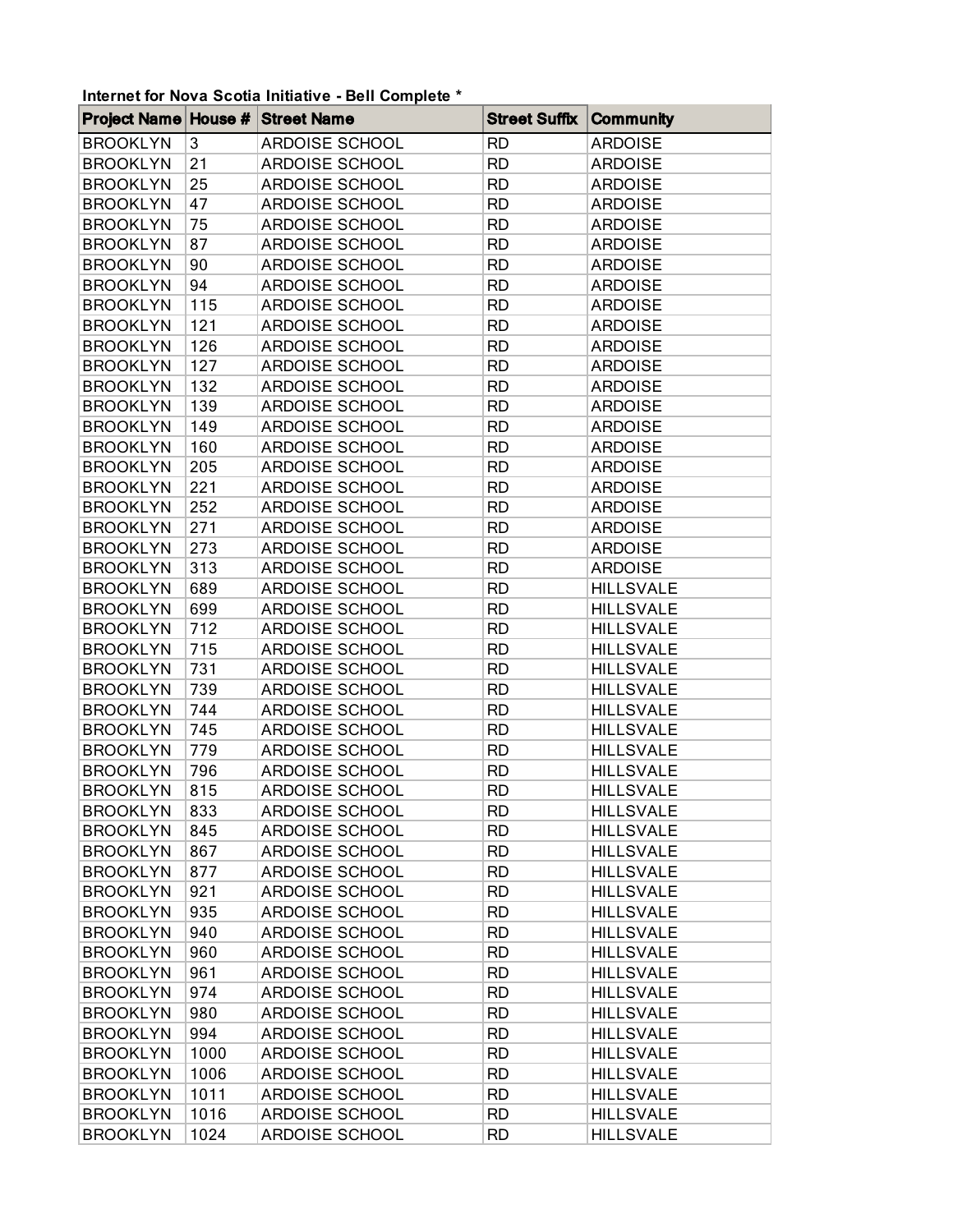## **Internet for Nova Scotia Initiative - Bell Complete \***

| <b>Project Name House #</b> |      | <b>Street Name</b>    | <b>Street Suffix</b> | <b>Community</b> |
|-----------------------------|------|-----------------------|----------------------|------------------|
| <b>BROOKLYN</b>             | 3    | <b>ARDOISE SCHOOL</b> | <b>RD</b>            | <b>ARDOISE</b>   |
| <b>BROOKLYN</b>             | 21   | ARDOISE SCHOOL        | <b>RD</b>            | <b>ARDOISE</b>   |
| <b>BROOKLYN</b>             | 25   | ARDOISE SCHOOL        | <b>RD</b>            | <b>ARDOISE</b>   |
| <b>BROOKLYN</b>             | 47   | <b>ARDOISE SCHOOL</b> | <b>RD</b>            | <b>ARDOISE</b>   |
| <b>BROOKLYN</b>             | 75   | ARDOISE SCHOOL        | <b>RD</b>            | <b>ARDOISE</b>   |
| <b>BROOKLYN</b>             | 87   | ARDOISE SCHOOL        | <b>RD</b>            | <b>ARDOISE</b>   |
| <b>BROOKLYN</b>             | 90   | ARDOISE SCHOOL        | <b>RD</b>            | <b>ARDOISE</b>   |
| <b>BROOKLYN</b>             | 94   | ARDOISE SCHOOL        | <b>RD</b>            | <b>ARDOISE</b>   |
| <b>BROOKLYN</b>             | 115  | ARDOISE SCHOOL        | <b>RD</b>            | <b>ARDOISE</b>   |
| <b>BROOKLYN</b>             | 121  | ARDOISE SCHOOL        | <b>RD</b>            | <b>ARDOISE</b>   |
| <b>BROOKLYN</b>             | 126  | ARDOISE SCHOOL        | <b>RD</b>            | <b>ARDOISE</b>   |
| <b>BROOKLYN</b>             | 127  | ARDOISE SCHOOL        | <b>RD</b>            | <b>ARDOISE</b>   |
| <b>BROOKLYN</b>             | 132  | ARDOISE SCHOOL        | <b>RD</b>            | <b>ARDOISE</b>   |
| <b>BROOKLYN</b>             | 139  | ARDOISE SCHOOL        | <b>RD</b>            | <b>ARDOISE</b>   |
| <b>BROOKLYN</b>             | 149  | ARDOISE SCHOOL        | <b>RD</b>            | <b>ARDOISE</b>   |
| <b>BROOKLYN</b>             | 160  | ARDOISE SCHOOL        | <b>RD</b>            | <b>ARDOISE</b>   |
| <b>BROOKLYN</b>             | 205  | <b>ARDOISE SCHOOL</b> | <b>RD</b>            | <b>ARDOISE</b>   |
| <b>BROOKLYN</b>             | 221  | ARDOISE SCHOOL        | <b>RD</b>            | <b>ARDOISE</b>   |
| <b>BROOKLYN</b>             | 252  | ARDOISE SCHOOL        | <b>RD</b>            | <b>ARDOISE</b>   |
| <b>BROOKLYN</b>             | 271  | ARDOISE SCHOOL        | <b>RD</b>            | <b>ARDOISE</b>   |
| <b>BROOKLYN</b>             | 273  | ARDOISE SCHOOL        | <b>RD</b>            | <b>ARDOISE</b>   |
| <b>BROOKLYN</b>             | 313  | ARDOISE SCHOOL        | <b>RD</b>            | <b>ARDOISE</b>   |
| <b>BROOKLYN</b>             | 689  | ARDOISE SCHOOL        | <b>RD</b>            | <b>HILLSVALE</b> |
| <b>BROOKLYN</b>             | 699  | ARDOISE SCHOOL        | <b>RD</b>            | <b>HILLSVALE</b> |
| <b>BROOKLYN</b>             | 712  | ARDOISE SCHOOL        | <b>RD</b>            | <b>HILLSVALE</b> |
| <b>BROOKLYN</b>             | 715  | ARDOISE SCHOOL        | <b>RD</b>            | <b>HILLSVALE</b> |
| <b>BROOKLYN</b>             | 731  | ARDOISE SCHOOL        | <b>RD</b>            | <b>HILLSVALE</b> |
| <b>BROOKLYN</b>             | 739  | ARDOISE SCHOOL        | <b>RD</b>            | <b>HILLSVALE</b> |
| <b>BROOKLYN</b>             | 744  | ARDOISE SCHOOL        | <b>RD</b>            | <b>HILLSVALE</b> |
| <b>BROOKLYN</b>             | 745  | <b>ARDOISE SCHOOL</b> | <b>RD</b>            | <b>HILLSVALE</b> |
| <b>BROOKLYN</b>             | 779  | ARDOISE SCHOOL        | <b>RD</b>            | <b>HILLSVALE</b> |
| <b>BROOKLYN</b>             | 796  | <b>ARDOISE SCHOOL</b> | <b>RD</b>            | <b>HILLSVALE</b> |
| <b>BROOKLYN</b>             | 815  | ARDOISE SCHOOL        | <b>RD</b>            | <b>HILLSVALE</b> |
| <b>BROOKLYN</b>             | 833  | <b>ARDOISE SCHOOL</b> | <b>RD</b>            | <b>HILLSVALE</b> |
| <b>BROOKLYN</b>             | 845  | ARDOISE SCHOOL        | <b>RD</b>            | <b>HILLSVALE</b> |
| <b>BROOKLYN</b>             | 867  | ARDOISE SCHOOL        | <b>RD</b>            | <b>HILLSVALE</b> |
| <b>BROOKLYN</b>             | 877  | ARDOISE SCHOOL        | <b>RD</b>            | <b>HILLSVALE</b> |
| <b>BROOKLYN</b>             | 921  | ARDOISE SCHOOL        | <b>RD</b>            | <b>HILLSVALE</b> |
| <b>BROOKLYN</b>             | 935  | ARDOISE SCHOOL        | <b>RD</b>            | <b>HILLSVALE</b> |
| <b>BROOKLYN</b>             | 940  | ARDOISE SCHOOL        | <b>RD</b>            | <b>HILLSVALE</b> |
| <b>BROOKLYN</b>             | 960  | ARDOISE SCHOOL        | <b>RD</b>            | <b>HILLSVALE</b> |
| <b>BROOKLYN</b>             | 961  | ARDOISE SCHOOL        | <b>RD</b>            | <b>HILLSVALE</b> |
| <b>BROOKLYN</b>             | 974  | <b>ARDOISE SCHOOL</b> | <b>RD</b>            | <b>HILLSVALE</b> |
| <b>BROOKLYN</b>             | 980  | ARDOISE SCHOOL        | <b>RD</b>            | <b>HILLSVALE</b> |
| <b>BROOKLYN</b>             | 994  | ARDOISE SCHOOL        | <b>RD</b>            | <b>HILLSVALE</b> |
| <b>BROOKLYN</b>             | 1000 | ARDOISE SCHOOL        | <b>RD</b>            | <b>HILLSVALE</b> |
| <b>BROOKLYN</b>             | 1006 | ARDOISE SCHOOL        | <b>RD</b>            | <b>HILLSVALE</b> |
| <b>BROOKLYN</b>             | 1011 | ARDOISE SCHOOL        | <b>RD</b>            | <b>HILLSVALE</b> |
| <b>BROOKLYN</b>             | 1016 | ARDOISE SCHOOL        | <b>RD</b>            | <b>HILLSVALE</b> |
| <b>BROOKLYN</b>             | 1024 | ARDOISE SCHOOL        | <b>RD</b>            | <b>HILLSVALE</b> |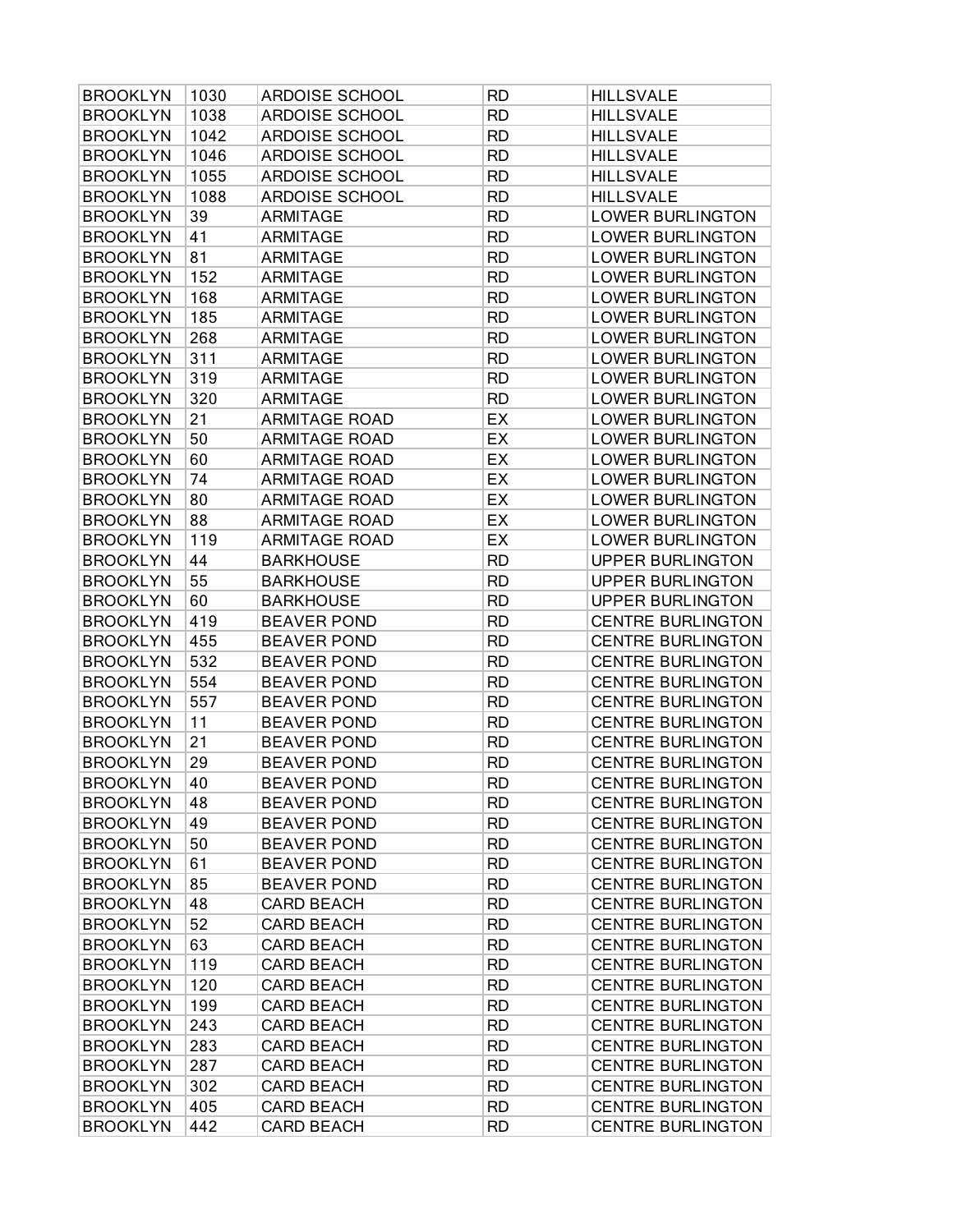| <b>BROOKLYN</b> | 1030 | <b>ARDOISE SCHOOL</b> | <b>RD</b> | <b>HILLSVALE</b>         |
|-----------------|------|-----------------------|-----------|--------------------------|
| <b>BROOKLYN</b> | 1038 | <b>ARDOISE SCHOOL</b> | <b>RD</b> | <b>HILLSVALE</b>         |
| <b>BROOKLYN</b> | 1042 | <b>ARDOISE SCHOOL</b> | <b>RD</b> | <b>HILLSVALE</b>         |
| <b>BROOKLYN</b> | 1046 | ARDOISE SCHOOL        | <b>RD</b> | <b>HILLSVALE</b>         |
| <b>BROOKLYN</b> | 1055 | <b>ARDOISE SCHOOL</b> | <b>RD</b> | <b>HILLSVALE</b>         |
| <b>BROOKLYN</b> | 1088 | ARDOISE SCHOOL        | <b>RD</b> | <b>HILLSVALE</b>         |
| <b>BROOKLYN</b> | 39   | <b>ARMITAGE</b>       | <b>RD</b> | <b>LOWER BURLINGTON</b>  |
| <b>BROOKLYN</b> | 41   | ARMITAGE              | <b>RD</b> | <b>LOWER BURLINGTON</b>  |
| <b>BROOKLYN</b> | 81   | <b>ARMITAGE</b>       | <b>RD</b> | <b>LOWER BURLINGTON</b>  |
| <b>BROOKLYN</b> | 152  | <b>ARMITAGE</b>       | <b>RD</b> | <b>LOWER BURLINGTON</b>  |
| <b>BROOKLYN</b> | 168  | <b>ARMITAGE</b>       | <b>RD</b> | <b>LOWER BURLINGTON</b>  |
| <b>BROOKLYN</b> | 185  | <b>ARMITAGE</b>       | <b>RD</b> | <b>LOWER BURLINGTON</b>  |
| <b>BROOKLYN</b> | 268  | <b>ARMITAGE</b>       | <b>RD</b> | <b>LOWER BURLINGTON</b>  |
| <b>BROOKLYN</b> | 311  | <b>ARMITAGE</b>       | <b>RD</b> | <b>LOWER BURLINGTON</b>  |
| <b>BROOKLYN</b> | 319  | <b>ARMITAGE</b>       | <b>RD</b> | <b>LOWER BURLINGTON</b>  |
| <b>BROOKLYN</b> | 320  | <b>ARMITAGE</b>       | <b>RD</b> | <b>LOWER BURLINGTON</b>  |
| <b>BROOKLYN</b> | 21   | <b>ARMITAGE ROAD</b>  | EX        | <b>LOWER BURLINGTON</b>  |
| <b>BROOKLYN</b> | 50   | <b>ARMITAGE ROAD</b>  | EX        | <b>LOWER BURLINGTON</b>  |
| <b>BROOKLYN</b> | 60   | <b>ARMITAGE ROAD</b>  | EX        | <b>LOWER BURLINGTON</b>  |
| <b>BROOKLYN</b> | 74   | <b>ARMITAGE ROAD</b>  | EX        | <b>LOWER BURLINGTON</b>  |
| <b>BROOKLYN</b> | 80   | <b>ARMITAGE ROAD</b>  | EX        | <b>LOWER BURLINGTON</b>  |
| <b>BROOKLYN</b> | 88   | <b>ARMITAGE ROAD</b>  | EX        | <b>LOWER BURLINGTON</b>  |
| <b>BROOKLYN</b> | 119  | <b>ARMITAGE ROAD</b>  | EX        | <b>LOWER BURLINGTON</b>  |
| <b>BROOKLYN</b> | 44   | <b>BARKHOUSE</b>      | <b>RD</b> | <b>UPPER BURLINGTON</b>  |
| <b>BROOKLYN</b> | 55   | <b>BARKHOUSE</b>      | <b>RD</b> | <b>UPPER BURLINGTON</b>  |
| <b>BROOKLYN</b> | 60   | <b>BARKHOUSE</b>      | <b>RD</b> | <b>UPPER BURLINGTON</b>  |
| <b>BROOKLYN</b> | 419  | <b>BEAVER POND</b>    | <b>RD</b> | <b>CENTRE BURLINGTON</b> |
| <b>BROOKLYN</b> | 455  | <b>BEAVER POND</b>    | <b>RD</b> | <b>CENTRE BURLINGTON</b> |
| <b>BROOKLYN</b> | 532  | <b>BEAVER POND</b>    | <b>RD</b> | <b>CENTRE BURLINGTON</b> |
| <b>BROOKLYN</b> | 554  | <b>BEAVER POND</b>    | <b>RD</b> | <b>CENTRE BURLINGTON</b> |
| <b>BROOKLYN</b> | 557  | <b>BEAVER POND</b>    | <b>RD</b> | <b>CENTRE BURLINGTON</b> |
| <b>BROOKLYN</b> | 11   | <b>BEAVER POND</b>    | <b>RD</b> | <b>CENTRE BURLINGTON</b> |
| <b>BROOKLYN</b> | 21   | <b>BEAVER POND</b>    | <b>RD</b> | <b>CENTRE BURLINGTON</b> |
| <b>BROOKLYN</b> | 29   | <b>BEAVER POND</b>    | <b>RD</b> | <b>CENTRE BURLINGTON</b> |
| <b>BROOKLYN</b> | 40   | <b>BEAVER POND</b>    | <b>RD</b> | CENTRE BURLINGTON        |
| <b>BROOKLYN</b> | 48   | <b>BEAVER POND</b>    | <b>RD</b> | <b>CENTRE BURLINGTON</b> |
| <b>BROOKLYN</b> | 49   | <b>BEAVER POND</b>    | <b>RD</b> | <b>CENTRE BURLINGTON</b> |
| <b>BROOKLYN</b> | 50   | <b>BEAVER POND</b>    | <b>RD</b> | <b>CENTRE BURLINGTON</b> |
| <b>BROOKLYN</b> | 61   | <b>BEAVER POND</b>    | <b>RD</b> | <b>CENTRE BURLINGTON</b> |
| <b>BROOKLYN</b> | 85   | <b>BEAVER POND</b>    | <b>RD</b> | <b>CENTRE BURLINGTON</b> |
| <b>BROOKLYN</b> | 48   | <b>CARD BEACH</b>     | <b>RD</b> | <b>CENTRE BURLINGTON</b> |
| <b>BROOKLYN</b> | 52   | <b>CARD BEACH</b>     | <b>RD</b> | <b>CENTRE BURLINGTON</b> |
| <b>BROOKLYN</b> | 63   | <b>CARD BEACH</b>     | <b>RD</b> | <b>CENTRE BURLINGTON</b> |
| <b>BROOKLYN</b> | 119  | <b>CARD BEACH</b>     | <b>RD</b> | <b>CENTRE BURLINGTON</b> |
| <b>BROOKLYN</b> | 120  | <b>CARD BEACH</b>     | <b>RD</b> | <b>CENTRE BURLINGTON</b> |
| <b>BROOKLYN</b> | 199  | <b>CARD BEACH</b>     | <b>RD</b> | <b>CENTRE BURLINGTON</b> |
| <b>BROOKLYN</b> | 243  | <b>CARD BEACH</b>     | <b>RD</b> | <b>CENTRE BURLINGTON</b> |
| <b>BROOKLYN</b> | 283  | <b>CARD BEACH</b>     | <b>RD</b> | <b>CENTRE BURLINGTON</b> |
| <b>BROOKLYN</b> | 287  | <b>CARD BEACH</b>     | <b>RD</b> | <b>CENTRE BURLINGTON</b> |
| <b>BROOKLYN</b> | 302  | <b>CARD BEACH</b>     | <b>RD</b> | <b>CENTRE BURLINGTON</b> |
| <b>BROOKLYN</b> | 405  | <b>CARD BEACH</b>     | <b>RD</b> | <b>CENTRE BURLINGTON</b> |
| <b>BROOKLYN</b> | 442  | <b>CARD BEACH</b>     | <b>RD</b> | <b>CENTRE BURLINGTON</b> |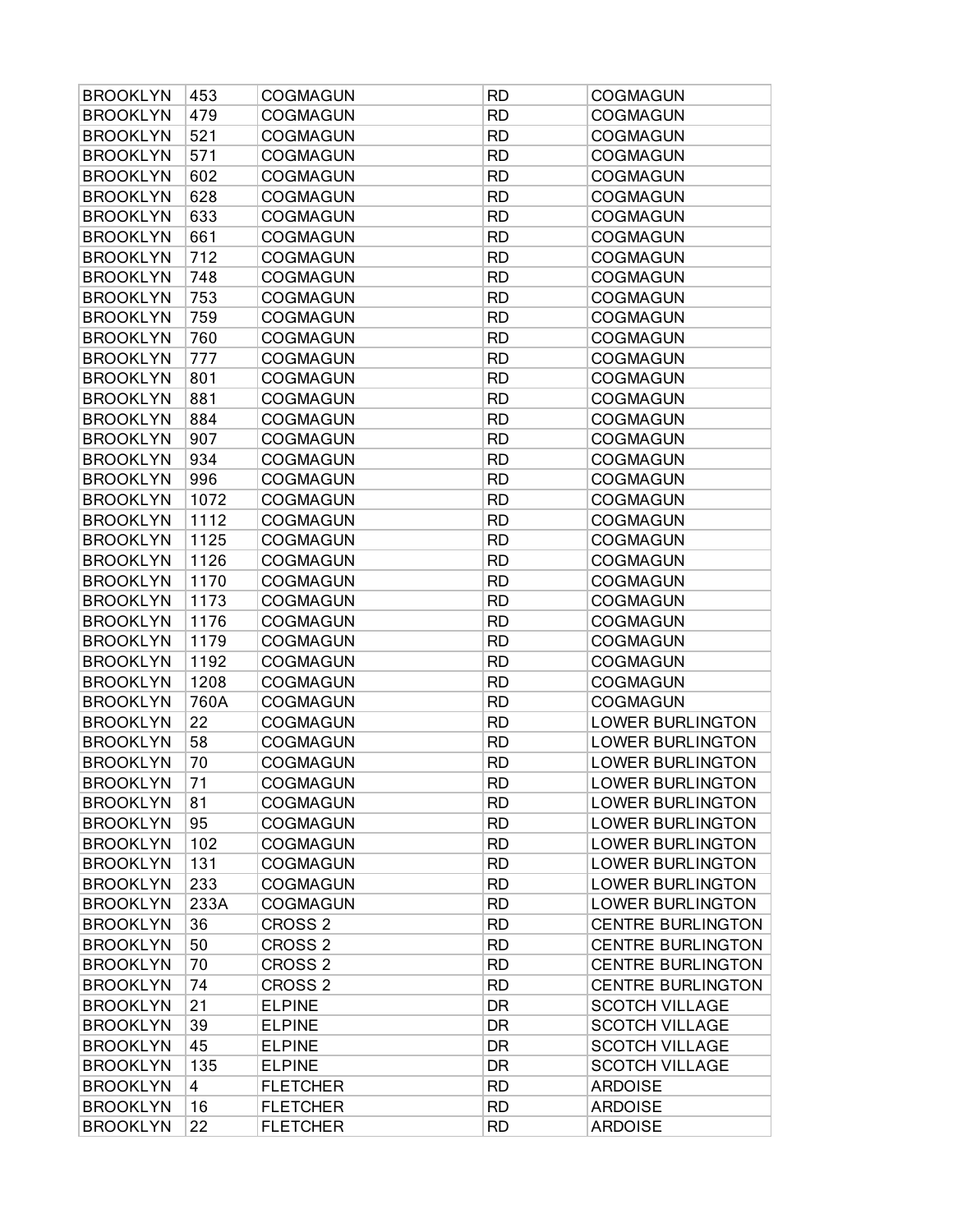| <b>BROOKLYN</b> | 453  | <b>COGMAGUN</b>    | <b>RD</b> | <b>COGMAGUN</b>          |
|-----------------|------|--------------------|-----------|--------------------------|
| <b>BROOKLYN</b> | 479  | <b>COGMAGUN</b>    | <b>RD</b> | <b>COGMAGUN</b>          |
| <b>BROOKLYN</b> | 521  | <b>COGMAGUN</b>    | <b>RD</b> | <b>COGMAGUN</b>          |
| <b>BROOKLYN</b> | 571  | <b>COGMAGUN</b>    | <b>RD</b> | <b>COGMAGUN</b>          |
| <b>BROOKLYN</b> | 602  | <b>COGMAGUN</b>    | <b>RD</b> | <b>COGMAGUN</b>          |
| <b>BROOKLYN</b> | 628  | <b>COGMAGUN</b>    | <b>RD</b> | <b>COGMAGUN</b>          |
| <b>BROOKLYN</b> | 633  | <b>COGMAGUN</b>    | <b>RD</b> | <b>COGMAGUN</b>          |
| <b>BROOKLYN</b> | 661  | <b>COGMAGUN</b>    | <b>RD</b> | <b>COGMAGUN</b>          |
| <b>BROOKLYN</b> | 712  | <b>COGMAGUN</b>    | <b>RD</b> | <b>COGMAGUN</b>          |
| <b>BROOKLYN</b> | 748  | <b>COGMAGUN</b>    | <b>RD</b> | <b>COGMAGUN</b>          |
| <b>BROOKLYN</b> | 753  | <b>COGMAGUN</b>    | <b>RD</b> | <b>COGMAGUN</b>          |
| <b>BROOKLYN</b> | 759  | COGMAGUN           | <b>RD</b> | <b>COGMAGUN</b>          |
| <b>BROOKLYN</b> | 760  | <b>COGMAGUN</b>    | <b>RD</b> | <b>COGMAGUN</b>          |
| <b>BROOKLYN</b> | 777  | <b>COGMAGUN</b>    | <b>RD</b> | <b>COGMAGUN</b>          |
| <b>BROOKLYN</b> | 801  | <b>COGMAGUN</b>    | <b>RD</b> | <b>COGMAGUN</b>          |
| <b>BROOKLYN</b> | 881  | <b>COGMAGUN</b>    | <b>RD</b> | <b>COGMAGUN</b>          |
| <b>BROOKLYN</b> | 884  | <b>COGMAGUN</b>    | <b>RD</b> | <b>COGMAGUN</b>          |
| <b>BROOKLYN</b> | 907  | <b>COGMAGUN</b>    | <b>RD</b> | <b>COGMAGUN</b>          |
| <b>BROOKLYN</b> | 934  | <b>COGMAGUN</b>    | <b>RD</b> | <b>COGMAGUN</b>          |
| <b>BROOKLYN</b> | 996  | <b>COGMAGUN</b>    | <b>RD</b> | <b>COGMAGUN</b>          |
| <b>BROOKLYN</b> | 1072 | <b>COGMAGUN</b>    | <b>RD</b> | <b>COGMAGUN</b>          |
| <b>BROOKLYN</b> | 1112 | <b>COGMAGUN</b>    | <b>RD</b> | <b>COGMAGUN</b>          |
| <b>BROOKLYN</b> | 1125 | <b>COGMAGUN</b>    | <b>RD</b> | <b>COGMAGUN</b>          |
| <b>BROOKLYN</b> | 1126 | <b>COGMAGUN</b>    | <b>RD</b> | <b>COGMAGUN</b>          |
| <b>BROOKLYN</b> | 1170 | <b>COGMAGUN</b>    | <b>RD</b> | <b>COGMAGUN</b>          |
| <b>BROOKLYN</b> | 1173 | <b>COGMAGUN</b>    | <b>RD</b> | <b>COGMAGUN</b>          |
| <b>BROOKLYN</b> | 1176 | <b>COGMAGUN</b>    | <b>RD</b> | <b>COGMAGUN</b>          |
| <b>BROOKLYN</b> | 1179 | <b>COGMAGUN</b>    | <b>RD</b> | <b>COGMAGUN</b>          |
| <b>BROOKLYN</b> | 1192 | <b>COGMAGUN</b>    | <b>RD</b> | <b>COGMAGUN</b>          |
| <b>BROOKLYN</b> | 1208 | <b>COGMAGUN</b>    | <b>RD</b> | <b>COGMAGUN</b>          |
| <b>BROOKLYN</b> | 760A | <b>COGMAGUN</b>    | <b>RD</b> | COGMAGUN                 |
| <b>BROOKLYN</b> | 22   | <b>COGMAGUN</b>    | <b>RD</b> | <b>LOWER BURLINGTON</b>  |
| <b>BROOKLYN</b> | 58   | <b>COGMAGUN</b>    | <b>RD</b> | <b>LOWER BURLINGTON</b>  |
| <b>BROOKLYN</b> | 70   | <b>COGMAGUN</b>    | <b>RD</b> | <b>LOWER BURLINGTON</b>  |
| <b>BROOKLYN</b> | 71   | COGMAGUN           | <b>RD</b> | <b>LOWER BURLINGTON</b>  |
| <b>BROOKLYN</b> | 81   | <b>COGMAGUN</b>    | <b>RD</b> | <b>LOWER BURLINGTON</b>  |
| <b>BROOKLYN</b> | 95   | <b>COGMAGUN</b>    | <b>RD</b> | <b>LOWER BURLINGTON</b>  |
| <b>BROOKLYN</b> | 102  | <b>COGMAGUN</b>    | <b>RD</b> | <b>LOWER BURLINGTON</b>  |
| <b>BROOKLYN</b> | 131  | <b>COGMAGUN</b>    | <b>RD</b> | <b>LOWER BURLINGTON</b>  |
| <b>BROOKLYN</b> | 233  | COGMAGUN           | <b>RD</b> | <b>LOWER BURLINGTON</b>  |
| <b>BROOKLYN</b> | 233A | <b>COGMAGUN</b>    | <b>RD</b> | <b>LOWER BURLINGTON</b>  |
| <b>BROOKLYN</b> | 36   | CROSS <sub>2</sub> | <b>RD</b> | <b>CENTRE BURLINGTON</b> |
| <b>BROOKLYN</b> | 50   | CROSS <sub>2</sub> | <b>RD</b> | <b>CENTRE BURLINGTON</b> |
| <b>BROOKLYN</b> | 70   | CROSS <sub>2</sub> | <b>RD</b> | <b>CENTRE BURLINGTON</b> |
| <b>BROOKLYN</b> | 74   | CROSS <sub>2</sub> | <b>RD</b> | <b>CENTRE BURLINGTON</b> |
| <b>BROOKLYN</b> | 21   | <b>ELPINE</b>      | DR        | <b>SCOTCH VILLAGE</b>    |
| <b>BROOKLYN</b> | 39   | <b>ELPINE</b>      | DR        | <b>SCOTCH VILLAGE</b>    |
| <b>BROOKLYN</b> | 45   | <b>ELPINE</b>      | DR        | <b>SCOTCH VILLAGE</b>    |
| <b>BROOKLYN</b> | 135  | <b>ELPINE</b>      | DR        | <b>SCOTCH VILLAGE</b>    |
| <b>BROOKLYN</b> | 4    | <b>FLETCHER</b>    | <b>RD</b> | <b>ARDOISE</b>           |
| <b>BROOKLYN</b> | 16   | <b>FLETCHER</b>    | <b>RD</b> | <b>ARDOISE</b>           |
| <b>BROOKLYN</b> | 22   | <b>FLETCHER</b>    | <b>RD</b> | <b>ARDOISE</b>           |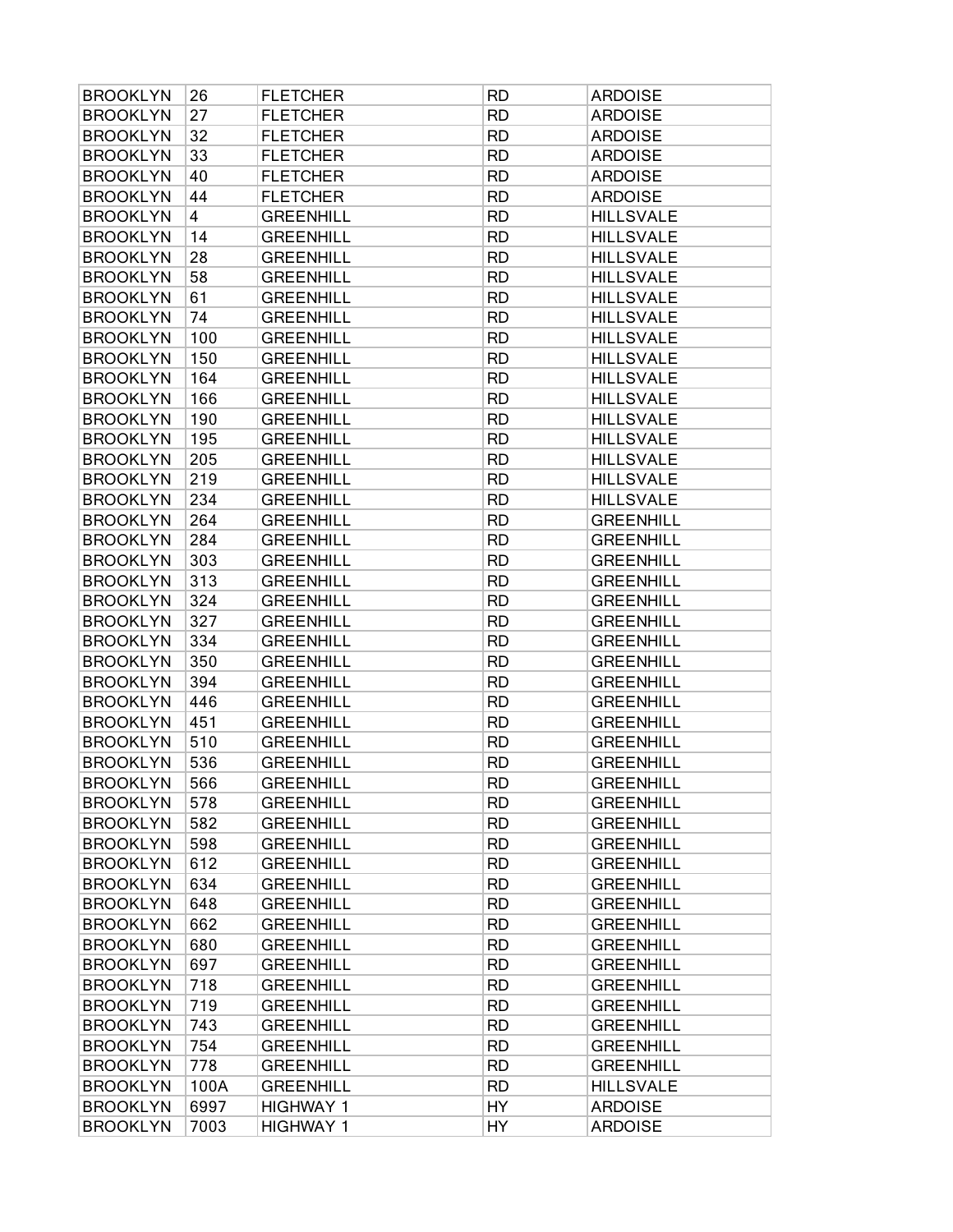| <b>BROOKLYN</b> | 26   | <b>FLETCHER</b>  | <b>RD</b> | <b>ARDOISE</b>   |
|-----------------|------|------------------|-----------|------------------|
| <b>BROOKLYN</b> | 27   | <b>FLETCHER</b>  | <b>RD</b> | <b>ARDOISE</b>   |
| <b>BROOKLYN</b> | 32   | <b>FLETCHER</b>  | <b>RD</b> | <b>ARDOISE</b>   |
| <b>BROOKLYN</b> | 33   | <b>FLETCHER</b>  | <b>RD</b> | <b>ARDOISE</b>   |
| <b>BROOKLYN</b> | 40   | <b>FLETCHER</b>  | <b>RD</b> | <b>ARDOISE</b>   |
| <b>BROOKLYN</b> | 44   | <b>FLETCHER</b>  | <b>RD</b> | <b>ARDOISE</b>   |
| <b>BROOKLYN</b> | 4    | <b>GREENHILL</b> | <b>RD</b> | <b>HILLSVALE</b> |
| <b>BROOKLYN</b> | 14   | <b>GREENHILL</b> | <b>RD</b> | <b>HILLSVALE</b> |
| <b>BROOKLYN</b> | 28   | <b>GREENHILL</b> | <b>RD</b> | <b>HILLSVALE</b> |
| <b>BROOKLYN</b> | 58   | <b>GREENHILL</b> | <b>RD</b> | <b>HILLSVALE</b> |
| <b>BROOKLYN</b> | 61   | <b>GREENHILL</b> | <b>RD</b> | <b>HILLSVALE</b> |
| <b>BROOKLYN</b> | 74   | <b>GREENHILL</b> | <b>RD</b> | <b>HILLSVALE</b> |
| <b>BROOKLYN</b> | 100  | <b>GREENHILL</b> | <b>RD</b> | <b>HILLSVALE</b> |
| <b>BROOKLYN</b> | 150  | <b>GREENHILL</b> | <b>RD</b> | <b>HILLSVALE</b> |
| <b>BROOKLYN</b> | 164  | <b>GREENHILL</b> | <b>RD</b> | <b>HILLSVALE</b> |
| <b>BROOKLYN</b> | 166  | <b>GREENHILL</b> | <b>RD</b> | <b>HILLSVALE</b> |
| <b>BROOKLYN</b> | 190  | <b>GREENHILL</b> | <b>RD</b> | <b>HILLSVALE</b> |
| <b>BROOKLYN</b> | 195  | <b>GREENHILL</b> | <b>RD</b> | <b>HILLSVALE</b> |
| <b>BROOKLYN</b> | 205  | <b>GREENHILL</b> | <b>RD</b> | <b>HILLSVALE</b> |
| <b>BROOKLYN</b> | 219  | <b>GREENHILL</b> | <b>RD</b> | <b>HILLSVALE</b> |
| <b>BROOKLYN</b> | 234  | <b>GREENHILL</b> | <b>RD</b> | <b>HILLSVALE</b> |
| <b>BROOKLYN</b> | 264  | <b>GREENHILL</b> | <b>RD</b> | <b>GREENHILL</b> |
| <b>BROOKLYN</b> | 284  | <b>GREENHILL</b> | <b>RD</b> | <b>GREENHILL</b> |
| <b>BROOKLYN</b> | 303  | <b>GREENHILL</b> | <b>RD</b> | <b>GREENHILL</b> |
| <b>BROOKLYN</b> | 313  | <b>GREENHILL</b> | <b>RD</b> | <b>GREENHILL</b> |
| <b>BROOKLYN</b> | 324  | <b>GREENHILL</b> | <b>RD</b> | <b>GREENHILL</b> |
| <b>BROOKLYN</b> | 327  | <b>GREENHILL</b> | <b>RD</b> | <b>GREENHILL</b> |
| <b>BROOKLYN</b> | 334  | <b>GREENHILL</b> | <b>RD</b> | <b>GREENHILL</b> |
| <b>BROOKLYN</b> | 350  | <b>GREENHILL</b> | <b>RD</b> | <b>GREENHILL</b> |
| <b>BROOKLYN</b> | 394  | <b>GREENHILL</b> | <b>RD</b> | <b>GREENHILL</b> |
| <b>BROOKLYN</b> | 446  | <b>GREENHILL</b> | <b>RD</b> | <b>GREENHILL</b> |
| <b>BROOKLYN</b> | 451  | <b>GREENHILL</b> | <b>RD</b> | <b>GREENHILL</b> |
| <b>BROOKLYN</b> | 510  | <b>GREENHILL</b> | <b>RD</b> | <b>GREENHILL</b> |
| <b>BROOKLYN</b> | 536  | <b>GREENHILL</b> | <b>RD</b> | <b>GREENHILL</b> |
| <b>BROOKLYN</b> | 566  | <b>GREENHILL</b> | <b>RD</b> | <b>GREENHILL</b> |
| <b>BROOKLYN</b> | 578  | <b>GREENHILL</b> | <b>RD</b> | <b>GREENHILL</b> |
| <b>BROOKLYN</b> | 582  | <b>GREENHILL</b> | <b>RD</b> | <b>GREENHILL</b> |
| <b>BROOKLYN</b> | 598  | <b>GREENHILL</b> | <b>RD</b> | <b>GREENHILL</b> |
| <b>BROOKLYN</b> | 612  | <b>GREENHILL</b> | <b>RD</b> | <b>GREENHILL</b> |
| <b>BROOKLYN</b> | 634  | <b>GREENHILL</b> | <b>RD</b> | <b>GREENHILL</b> |
| <b>BROOKLYN</b> | 648  | <b>GREENHILL</b> | <b>RD</b> | <b>GREENHILL</b> |
| <b>BROOKLYN</b> | 662  | <b>GREENHILL</b> | <b>RD</b> | <b>GREENHILL</b> |
| <b>BROOKLYN</b> | 680  | <b>GREENHILL</b> | <b>RD</b> | <b>GREENHILL</b> |
| <b>BROOKLYN</b> | 697  | <b>GREENHILL</b> | <b>RD</b> | <b>GREENHILL</b> |
| <b>BROOKLYN</b> | 718  | <b>GREENHILL</b> | <b>RD</b> | <b>GREENHILL</b> |
| <b>BROOKLYN</b> | 719  | <b>GREENHILL</b> | <b>RD</b> | <b>GREENHILL</b> |
| <b>BROOKLYN</b> | 743  | <b>GREENHILL</b> | <b>RD</b> | <b>GREENHILL</b> |
| <b>BROOKLYN</b> | 754  | <b>GREENHILL</b> | <b>RD</b> | <b>GREENHILL</b> |
| <b>BROOKLYN</b> | 778  | <b>GREENHILL</b> | <b>RD</b> | <b>GREENHILL</b> |
| <b>BROOKLYN</b> | 100A | <b>GREENHILL</b> | <b>RD</b> | <b>HILLSVALE</b> |
| <b>BROOKLYN</b> | 6997 | <b>HIGHWAY 1</b> | HY        | <b>ARDOISE</b>   |
| <b>BROOKLYN</b> | 7003 | <b>HIGHWAY 1</b> | HY        | <b>ARDOISE</b>   |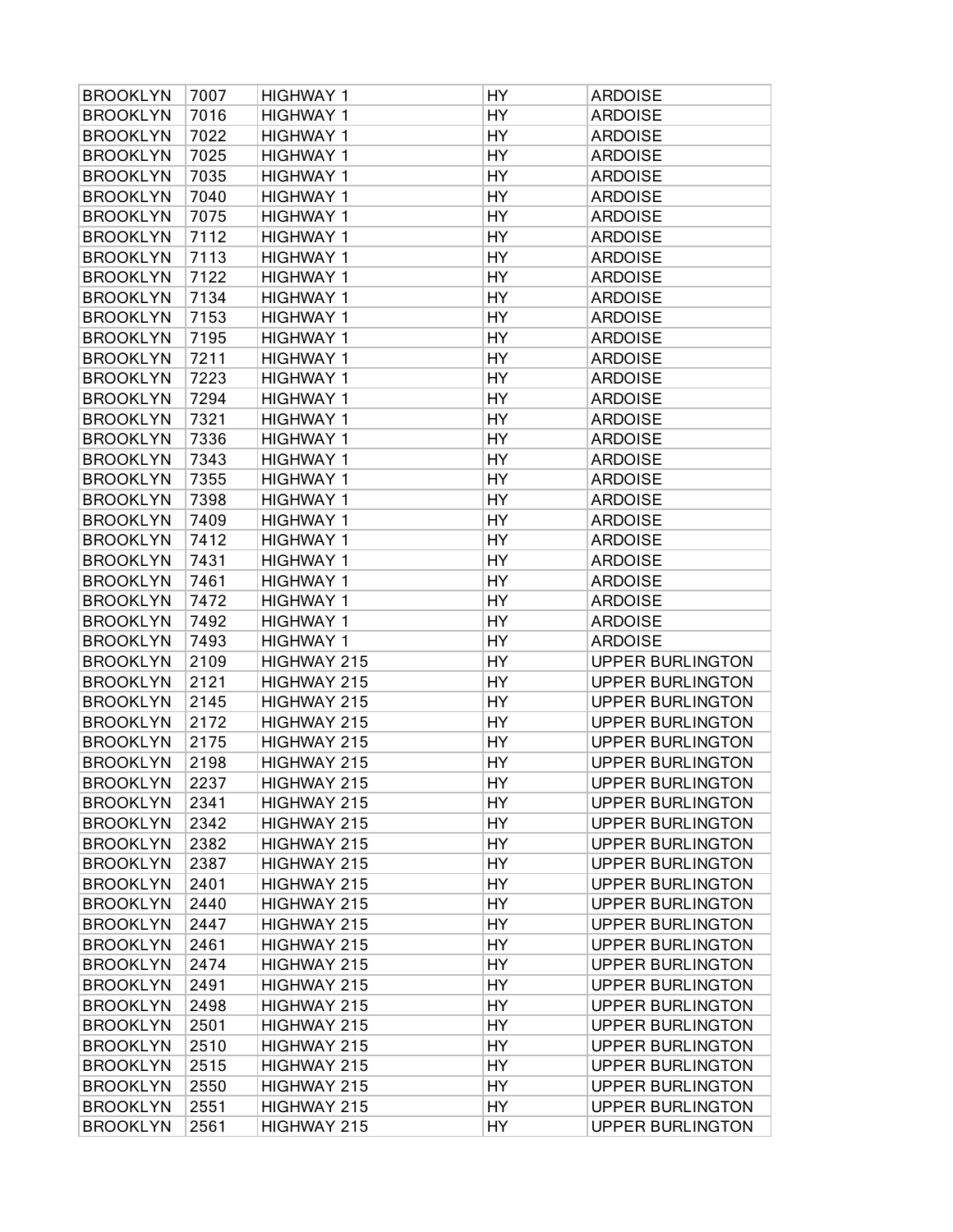| <b>BROOKLYN</b> | 7007 | <b>HIGHWAY 1</b> | HY        | <b>ARDOISE</b>          |
|-----------------|------|------------------|-----------|-------------------------|
| <b>BROOKLYN</b> | 7016 | <b>HIGHWAY 1</b> | HY        | <b>ARDOISE</b>          |
| <b>BROOKLYN</b> | 7022 | <b>HIGHWAY 1</b> | HY        | <b>ARDOISE</b>          |
| <b>BROOKLYN</b> | 7025 | <b>HIGHWAY 1</b> | HY        | <b>ARDOISE</b>          |
| <b>BROOKLYN</b> | 7035 | <b>HIGHWAY 1</b> | HY        | <b>ARDOISE</b>          |
| <b>BROOKLYN</b> | 7040 | <b>HIGHWAY 1</b> | HY        | <b>ARDOISE</b>          |
| <b>BROOKLYN</b> | 7075 | <b>HIGHWAY 1</b> | HY        | <b>ARDOISE</b>          |
| <b>BROOKLYN</b> | 7112 | <b>HIGHWAY 1</b> | HY        | <b>ARDOISE</b>          |
| <b>BROOKLYN</b> | 7113 | <b>HIGHWAY 1</b> | HY        | <b>ARDOISE</b>          |
| <b>BROOKLYN</b> | 7122 | <b>HIGHWAY 1</b> | HY        | <b>ARDOISE</b>          |
| <b>BROOKLYN</b> | 7134 | <b>HIGHWAY 1</b> | HY        | <b>ARDOISE</b>          |
| <b>BROOKLYN</b> | 7153 | <b>HIGHWAY 1</b> | HY        | <b>ARDOISE</b>          |
| <b>BROOKLYN</b> | 7195 | <b>HIGHWAY 1</b> | HY        | <b>ARDOISE</b>          |
| <b>BROOKLYN</b> | 7211 | <b>HIGHWAY 1</b> | HY        | <b>ARDOISE</b>          |
| <b>BROOKLYN</b> | 7223 | <b>HIGHWAY 1</b> | <b>HY</b> | <b>ARDOISE</b>          |
| <b>BROOKLYN</b> | 7294 | <b>HIGHWAY 1</b> | HY        | <b>ARDOISE</b>          |
| <b>BROOKLYN</b> | 7321 | <b>HIGHWAY 1</b> | HY        | <b>ARDOISE</b>          |
| <b>BROOKLYN</b> | 7336 | <b>HIGHWAY 1</b> | HY        | <b>ARDOISE</b>          |
| <b>BROOKLYN</b> | 7343 | <b>HIGHWAY 1</b> | HY        | <b>ARDOISE</b>          |
| <b>BROOKLYN</b> | 7355 | <b>HIGHWAY 1</b> | HY        | <b>ARDOISE</b>          |
| <b>BROOKLYN</b> | 7398 | <b>HIGHWAY 1</b> | HY        | <b>ARDOISE</b>          |
| <b>BROOKLYN</b> | 7409 | <b>HIGHWAY 1</b> | HY        | <b>ARDOISE</b>          |
| <b>BROOKLYN</b> | 7412 | <b>HIGHWAY 1</b> | HY        | <b>ARDOISE</b>          |
| <b>BROOKLYN</b> | 7431 | <b>HIGHWAY 1</b> | HY        | <b>ARDOISE</b>          |
| <b>BROOKLYN</b> | 7461 | <b>HIGHWAY 1</b> | HY        | <b>ARDOISE</b>          |
| <b>BROOKLYN</b> | 7472 | <b>HIGHWAY 1</b> | HY        | <b>ARDOISE</b>          |
| <b>BROOKLYN</b> | 7492 | <b>HIGHWAY 1</b> | HY        | <b>ARDOISE</b>          |
| <b>BROOKLYN</b> | 7493 | <b>HIGHWAY 1</b> | HY        | <b>ARDOISE</b>          |
| <b>BROOKLYN</b> | 2109 | HIGHWAY 215      | HY        | <b>UPPER BURLINGTON</b> |
| <b>BROOKLYN</b> | 2121 | HIGHWAY 215      | HY        | <b>UPPER BURLINGTON</b> |
| <b>BROOKLYN</b> | 2145 | HIGHWAY 215      | HY        | <b>UPPER BURLINGTON</b> |
| <b>BROOKLYN</b> | 2172 | HIGHWAY 215      | HY        | <b>UPPER BURLINGTON</b> |
| <b>BROOKLYN</b> | 2175 | HIGHWAY 215      | HY        | <b>UPPER BURLINGTON</b> |
| <b>BROOKLYN</b> | 2198 | HIGHWAY 215      | HY        | <b>UPPER BURLINGTON</b> |
| <b>BROOKLYN</b> | 2237 | HIGHWAY 215      | HY        | <b>UPPER BURLINGTON</b> |
| <b>BROOKLYN</b> | 2341 | HIGHWAY 215      | HY        | <b>UPPER BURLINGTON</b> |
| <b>BROOKLYN</b> | 2342 | HIGHWAY 215      | HY        | <b>UPPER BURLINGTON</b> |
| <b>BROOKLYN</b> | 2382 | HIGHWAY 215      | HY        | <b>UPPER BURLINGTON</b> |
| <b>BROOKLYN</b> | 2387 | HIGHWAY 215      | HY        | <b>UPPER BURLINGTON</b> |
| <b>BROOKLYN</b> | 2401 | HIGHWAY 215      | HY        | <b>UPPER BURLINGTON</b> |
| <b>BROOKLYN</b> | 2440 | HIGHWAY 215      | HY        | <b>UPPER BURLINGTON</b> |
| <b>BROOKLYN</b> | 2447 | HIGHWAY 215      | HY        | <b>UPPER BURLINGTON</b> |
| <b>BROOKLYN</b> | 2461 | HIGHWAY 215      | HY        | <b>UPPER BURLINGTON</b> |
| <b>BROOKLYN</b> | 2474 | HIGHWAY 215      | HY        | <b>UPPER BURLINGTON</b> |
| <b>BROOKLYN</b> | 2491 | HIGHWAY 215      | HY        | <b>UPPER BURLINGTON</b> |
| <b>BROOKLYN</b> | 2498 | HIGHWAY 215      | HY        | <b>UPPER BURLINGTON</b> |
| <b>BROOKLYN</b> | 2501 | HIGHWAY 215      | HY        | <b>UPPER BURLINGTON</b> |
| <b>BROOKLYN</b> | 2510 | HIGHWAY 215      | HY        | <b>UPPER BURLINGTON</b> |
| <b>BROOKLYN</b> | 2515 | HIGHWAY 215      | HY        | <b>UPPER BURLINGTON</b> |
| <b>BROOKLYN</b> | 2550 | HIGHWAY 215      | HY        | <b>UPPER BURLINGTON</b> |
| <b>BROOKLYN</b> | 2551 | HIGHWAY 215      | HY        | <b>UPPER BURLINGTON</b> |
| <b>BROOKLYN</b> | 2561 | HIGHWAY 215      | HY        | <b>UPPER BURLINGTON</b> |
|                 |      |                  |           |                         |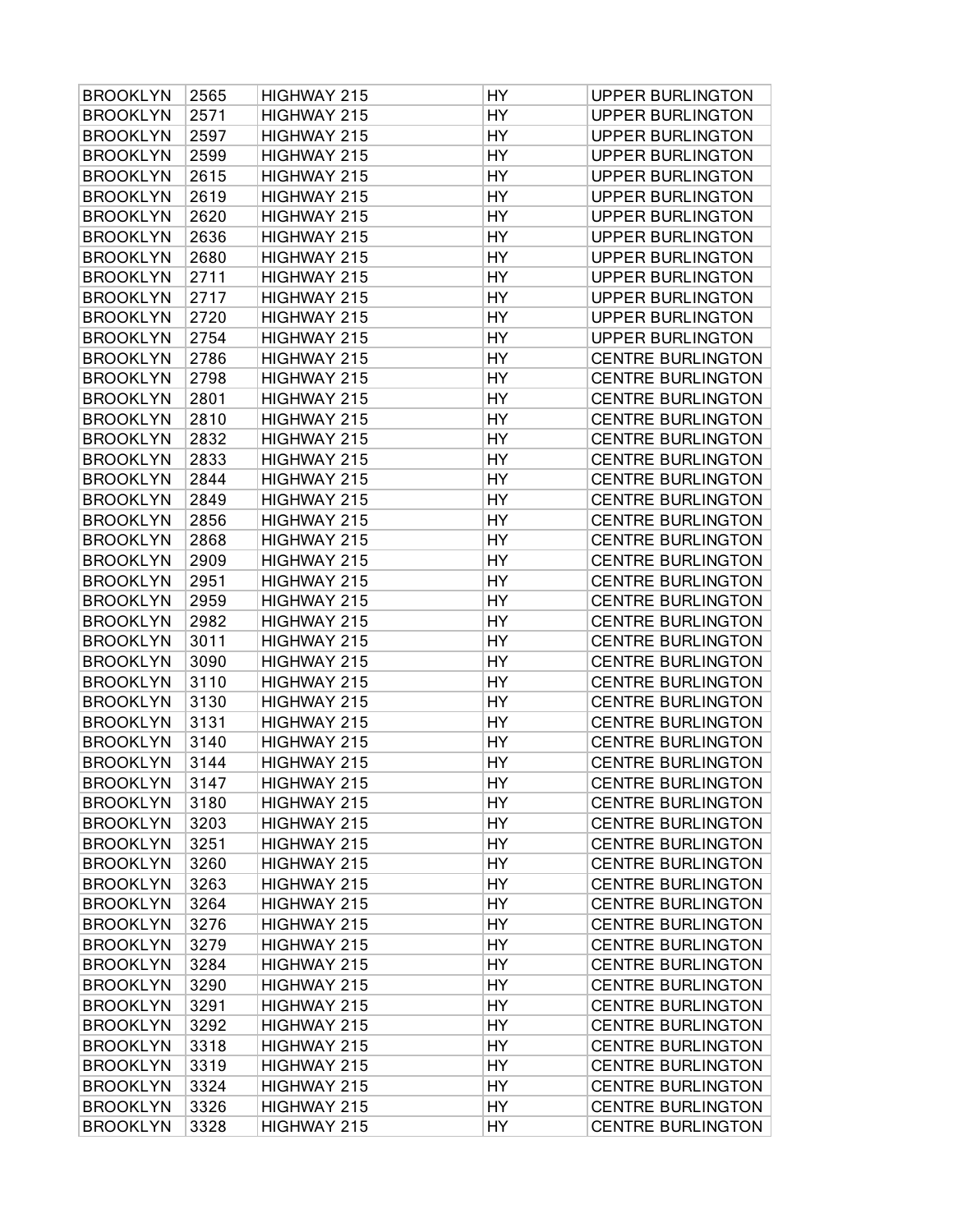| <b>BROOKLYN</b> | 2565 | HIGHWAY 215 | HY | <b>UPPER BURLINGTON</b>  |
|-----------------|------|-------------|----|--------------------------|
| <b>BROOKLYN</b> | 2571 | HIGHWAY 215 | HY | <b>UPPER BURLINGTON</b>  |
| <b>BROOKLYN</b> | 2597 | HIGHWAY 215 | HY | <b>UPPER BURLINGTON</b>  |
| <b>BROOKLYN</b> | 2599 | HIGHWAY 215 | HY | <b>UPPER BURLINGTON</b>  |
| <b>BROOKLYN</b> | 2615 | HIGHWAY 215 | HY | <b>UPPER BURLINGTON</b>  |
| <b>BROOKLYN</b> | 2619 | HIGHWAY 215 | HY | <b>UPPER BURLINGTON</b>  |
| <b>BROOKLYN</b> | 2620 | HIGHWAY 215 | HY | <b>UPPER BURLINGTON</b>  |
| <b>BROOKLYN</b> | 2636 | HIGHWAY 215 | HY | <b>UPPER BURLINGTON</b>  |
| <b>BROOKLYN</b> | 2680 | HIGHWAY 215 | HY | <b>UPPER BURLINGTON</b>  |
| <b>BROOKLYN</b> | 2711 | HIGHWAY 215 | HY | <b>UPPER BURLINGTON</b>  |
| <b>BROOKLYN</b> | 2717 | HIGHWAY 215 | HY | <b>UPPER BURLINGTON</b>  |
| <b>BROOKLYN</b> | 2720 | HIGHWAY 215 | HY | <b>UPPER BURLINGTON</b>  |
| <b>BROOKLYN</b> | 2754 | HIGHWAY 215 | HY | <b>UPPER BURLINGTON</b>  |
| <b>BROOKLYN</b> | 2786 | HIGHWAY 215 | HY | <b>CENTRE BURLINGTON</b> |
| <b>BROOKLYN</b> | 2798 | HIGHWAY 215 | HY | <b>CENTRE BURLINGTON</b> |
| <b>BROOKLYN</b> | 2801 | HIGHWAY 215 | HY | <b>CENTRE BURLINGTON</b> |
| <b>BROOKLYN</b> | 2810 | HIGHWAY 215 | HY | <b>CENTRE BURLINGTON</b> |
| <b>BROOKLYN</b> | 2832 | HIGHWAY 215 | HY | <b>CENTRE BURLINGTON</b> |
| <b>BROOKLYN</b> | 2833 | HIGHWAY 215 | HY | <b>CENTRE BURLINGTON</b> |
| <b>BROOKLYN</b> | 2844 | HIGHWAY 215 | HY | <b>CENTRE BURLINGTON</b> |
| <b>BROOKLYN</b> | 2849 | HIGHWAY 215 | HY | <b>CENTRE BURLINGTON</b> |
| <b>BROOKLYN</b> | 2856 | HIGHWAY 215 | HY | <b>CENTRE BURLINGTON</b> |
| <b>BROOKLYN</b> | 2868 | HIGHWAY 215 | HY | <b>CENTRE BURLINGTON</b> |
| <b>BROOKLYN</b> | 2909 | HIGHWAY 215 | HY | <b>CENTRE BURLINGTON</b> |
| <b>BROOKLYN</b> | 2951 | HIGHWAY 215 | HY | <b>CENTRE BURLINGTON</b> |
| <b>BROOKLYN</b> | 2959 | HIGHWAY 215 | HY | <b>CENTRE BURLINGTON</b> |
| <b>BROOKLYN</b> | 2982 | HIGHWAY 215 | HY | <b>CENTRE BURLINGTON</b> |
| <b>BROOKLYN</b> | 3011 | HIGHWAY 215 | HY | <b>CENTRE BURLINGTON</b> |
| <b>BROOKLYN</b> | 3090 | HIGHWAY 215 | HY | <b>CENTRE BURLINGTON</b> |
| <b>BROOKLYN</b> | 3110 | HIGHWAY 215 | HY | <b>CENTRE BURLINGTON</b> |
| <b>BROOKLYN</b> | 3130 | HIGHWAY 215 | HY | <b>CENTRE BURLINGTON</b> |
| <b>BROOKLYN</b> | 3131 | HIGHWAY 215 | HY | <b>CENTRE BURLINGTON</b> |
| <b>BROOKLYN</b> | 3140 | HIGHWAY 215 | HY | <b>CENTRE BURLINGTON</b> |
| <b>BROOKLYN</b> | 3144 | HIGHWAY 215 | HY | <b>CENTRE BURLINGTON</b> |
| <b>BROOKLYN</b> | 3147 | HIGHWAY 215 | HY | <b>CENTRE BURLINGTON</b> |
| <b>BROOKLYN</b> | 3180 | HIGHWAY 215 | HY | <b>CENTRE BURLINGTON</b> |
| <b>BROOKLYN</b> | 3203 | HIGHWAY 215 | HY | <b>CENTRE BURLINGTON</b> |
| <b>BROOKLYN</b> | 3251 | HIGHWAY 215 | HY | <b>CENTRE BURLINGTON</b> |
| <b>BROOKLYN</b> | 3260 | HIGHWAY 215 | HY | <b>CENTRE BURLINGTON</b> |
| <b>BROOKLYN</b> | 3263 | HIGHWAY 215 | HY | <b>CENTRE BURLINGTON</b> |
| <b>BROOKLYN</b> | 3264 | HIGHWAY 215 | HY | <b>CENTRE BURLINGTON</b> |
| <b>BROOKLYN</b> | 3276 | HIGHWAY 215 | HY | <b>CENTRE BURLINGTON</b> |
| <b>BROOKLYN</b> | 3279 | HIGHWAY 215 | HY | <b>CENTRE BURLINGTON</b> |
| <b>BROOKLYN</b> | 3284 | HIGHWAY 215 | HY | <b>CENTRE BURLINGTON</b> |
| <b>BROOKLYN</b> | 3290 | HIGHWAY 215 | HY | <b>CENTRE BURLINGTON</b> |
| <b>BROOKLYN</b> | 3291 | HIGHWAY 215 | HY | <b>CENTRE BURLINGTON</b> |
| <b>BROOKLYN</b> | 3292 | HIGHWAY 215 | HY | <b>CENTRE BURLINGTON</b> |
| <b>BROOKLYN</b> | 3318 | HIGHWAY 215 | HY | <b>CENTRE BURLINGTON</b> |
| <b>BROOKLYN</b> | 3319 | HIGHWAY 215 | HY | <b>CENTRE BURLINGTON</b> |
| <b>BROOKLYN</b> | 3324 | HIGHWAY 215 | HY | <b>CENTRE BURLINGTON</b> |
| <b>BROOKLYN</b> | 3326 | HIGHWAY 215 | HY | <b>CENTRE BURLINGTON</b> |
| <b>BROOKLYN</b> | 3328 | HIGHWAY 215 | HY | <b>CENTRE BURLINGTON</b> |
|                 |      |             |    |                          |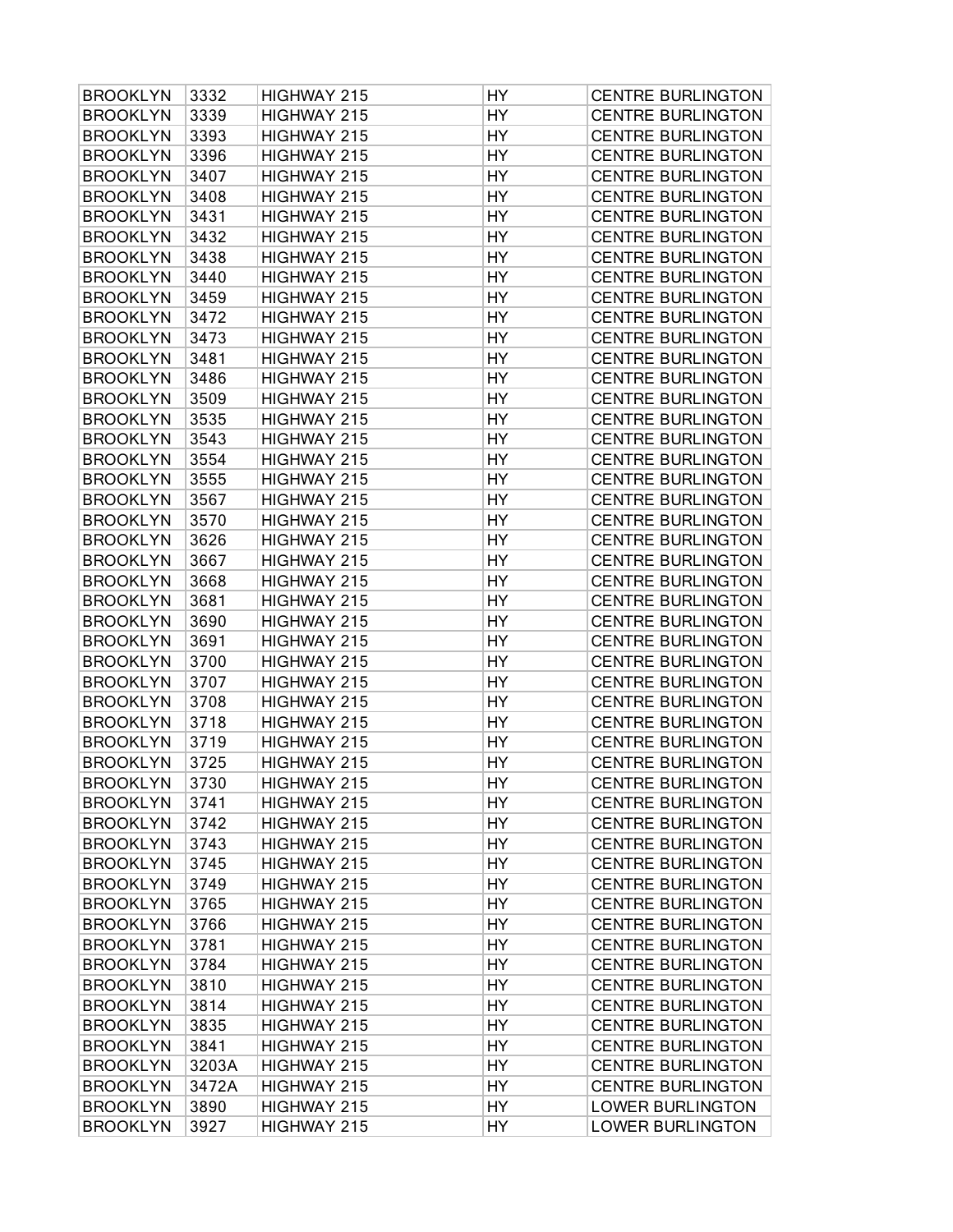| <b>BROOKLYN</b>                    | 3332         | HIGHWAY 215                | HY        | <b>CENTRE BURLINGTON</b>                             |
|------------------------------------|--------------|----------------------------|-----------|------------------------------------------------------|
| <b>BROOKLYN</b>                    | 3339         | HIGHWAY 215                | HY        | <b>CENTRE BURLINGTON</b>                             |
| <b>BROOKLYN</b>                    | 3393         | HIGHWAY 215                | HY        | <b>CENTRE BURLINGTON</b>                             |
| <b>BROOKLYN</b>                    | 3396         | HIGHWAY 215                | HY        | <b>CENTRE BURLINGTON</b>                             |
| <b>BROOKLYN</b>                    | 3407         | HIGHWAY 215                | HY        | <b>CENTRE BURLINGTON</b>                             |
| <b>BROOKLYN</b>                    | 3408         | HIGHWAY 215                | HY        | <b>CENTRE BURLINGTON</b>                             |
| <b>BROOKLYN</b>                    | 3431         | HIGHWAY 215                | HY        | <b>CENTRE BURLINGTON</b>                             |
| <b>BROOKLYN</b>                    | 3432         | HIGHWAY 215                | HY        | <b>CENTRE BURLINGTON</b>                             |
| <b>BROOKLYN</b>                    | 3438         | HIGHWAY 215                | HY        | <b>CENTRE BURLINGTON</b>                             |
| <b>BROOKLYN</b>                    | 3440         | HIGHWAY 215                | HY        | <b>CENTRE BURLINGTON</b>                             |
| <b>BROOKLYN</b>                    | 3459         | HIGHWAY 215                | HY        | <b>CENTRE BURLINGTON</b>                             |
| <b>BROOKLYN</b>                    | 3472         | HIGHWAY 215                | HY        | <b>CENTRE BURLINGTON</b>                             |
| <b>BROOKLYN</b>                    | 3473         | HIGHWAY 215                | HY        | <b>CENTRE BURLINGTON</b>                             |
| <b>BROOKLYN</b>                    | 3481         | HIGHWAY 215                | HY        | <b>CENTRE BURLINGTON</b>                             |
| <b>BROOKLYN</b>                    | 3486         | HIGHWAY 215                | HY        | <b>CENTRE BURLINGTON</b>                             |
| <b>BROOKLYN</b>                    | 3509         | HIGHWAY 215                | HY        | <b>CENTRE BURLINGTON</b>                             |
| <b>BROOKLYN</b>                    | 3535         | HIGHWAY 215                | HY        | <b>CENTRE BURLINGTON</b>                             |
| <b>BROOKLYN</b>                    | 3543         | HIGHWAY 215                | HY        | <b>CENTRE BURLINGTON</b>                             |
| <b>BROOKLYN</b>                    | 3554         | HIGHWAY 215                | HY        | <b>CENTRE BURLINGTON</b>                             |
| <b>BROOKLYN</b>                    | 3555         | HIGHWAY 215                | HY        | <b>CENTRE BURLINGTON</b>                             |
| <b>BROOKLYN</b>                    | 3567         | HIGHWAY 215                | HY        | <b>CENTRE BURLINGTON</b>                             |
| <b>BROOKLYN</b>                    | 3570         | HIGHWAY 215                | HY        | <b>CENTRE BURLINGTON</b>                             |
| <b>BROOKLYN</b>                    | 3626         | HIGHWAY 215                | HY        | <b>CENTRE BURLINGTON</b>                             |
| <b>BROOKLYN</b>                    | 3667         | HIGHWAY 215                | HY        | <b>CENTRE BURLINGTON</b>                             |
| <b>BROOKLYN</b>                    | 3668         | HIGHWAY 215                | HY        | <b>CENTRE BURLINGTON</b>                             |
| <b>BROOKLYN</b>                    | 3681         | HIGHWAY 215                | HY        | <b>CENTRE BURLINGTON</b>                             |
| <b>BROOKLYN</b>                    | 3690         | HIGHWAY 215                | HY        | <b>CENTRE BURLINGTON</b>                             |
| <b>BROOKLYN</b>                    | 3691         | HIGHWAY 215                | HY        | <b>CENTRE BURLINGTON</b>                             |
| <b>BROOKLYN</b>                    | 3700         | HIGHWAY 215                | HY        | <b>CENTRE BURLINGTON</b>                             |
| <b>BROOKLYN</b>                    | 3707         | HIGHWAY 215                | HY        | <b>CENTRE BURLINGTON</b>                             |
| <b>BROOKLYN</b>                    | 3708         | HIGHWAY 215                | HY        | <b>CENTRE BURLINGTON</b>                             |
|                                    |              |                            | HY        |                                                      |
| <b>BROOKLYN</b><br><b>BROOKLYN</b> | 3718<br>3719 | HIGHWAY 215                | HY        | <b>CENTRE BURLINGTON</b>                             |
| <b>BROOKLYN</b>                    | 3725         | HIGHWAY 215<br>HIGHWAY 215 | HY        | <b>CENTRE BURLINGTON</b><br><b>CENTRE BURLINGTON</b> |
|                                    |              |                            | HY        |                                                      |
| <b>BROOKLYN</b>                    | 3730         | HIGHWAY 215                |           | <b>CENTRE BURLINGTON</b>                             |
| <b>BROOKLYN</b>                    | 3741         | HIGHWAY 215                | HY        | <b>CENTRE BURLINGTON</b>                             |
| <b>BROOKLYN</b>                    | 3742         | HIGHWAY 215                | HY        | <b>CENTRE BURLINGTON</b>                             |
| <b>BROOKLYN</b>                    | 3743         | HIGHWAY 215                | HY        | <b>CENTRE BURLINGTON</b>                             |
| <b>BROOKLYN</b>                    | 3745         | HIGHWAY 215                | HY        | <b>CENTRE BURLINGTON</b>                             |
| <b>BROOKLYN</b>                    | 3749         | HIGHWAY 215                | HY        | <b>CENTRE BURLINGTON</b>                             |
| <b>BROOKLYN</b>                    | 3765         | HIGHWAY 215                | HY        | <b>CENTRE BURLINGTON</b>                             |
| <b>BROOKLYN</b>                    | 3766         | HIGHWAY 215                | HY        | <b>CENTRE BURLINGTON</b>                             |
| <b>BROOKLYN</b>                    | 3781         | HIGHWAY 215                | HY        | <b>CENTRE BURLINGTON</b>                             |
| <b>BROOKLYN</b>                    | 3784         | HIGHWAY 215                | HY        | <b>CENTRE BURLINGTON</b>                             |
| <b>BROOKLYN</b>                    | 3810         | HIGHWAY 215                | <b>HY</b> | <b>CENTRE BURLINGTON</b>                             |
| <b>BROOKLYN</b>                    | 3814         | HIGHWAY 215                | HY        | <b>CENTRE BURLINGTON</b>                             |
| <b>BROOKLYN</b>                    | 3835         | HIGHWAY 215                | HY        | <b>CENTRE BURLINGTON</b>                             |
| <b>BROOKLYN</b>                    | 3841         | HIGHWAY 215                | HY        | <b>CENTRE BURLINGTON</b>                             |
| <b>BROOKLYN</b>                    | 3203A        | HIGHWAY 215                | HY        | <b>CENTRE BURLINGTON</b>                             |
| <b>BROOKLYN</b>                    | 3472A        | HIGHWAY 215                | HY        | <b>CENTRE BURLINGTON</b>                             |
| <b>BROOKLYN</b>                    | 3890         | HIGHWAY 215                | <b>HY</b> | <b>LOWER BURLINGTON</b>                              |
| <b>BROOKLYN</b>                    | 3927         | HIGHWAY 215                | HY        | <b>LOWER BURLINGTON</b>                              |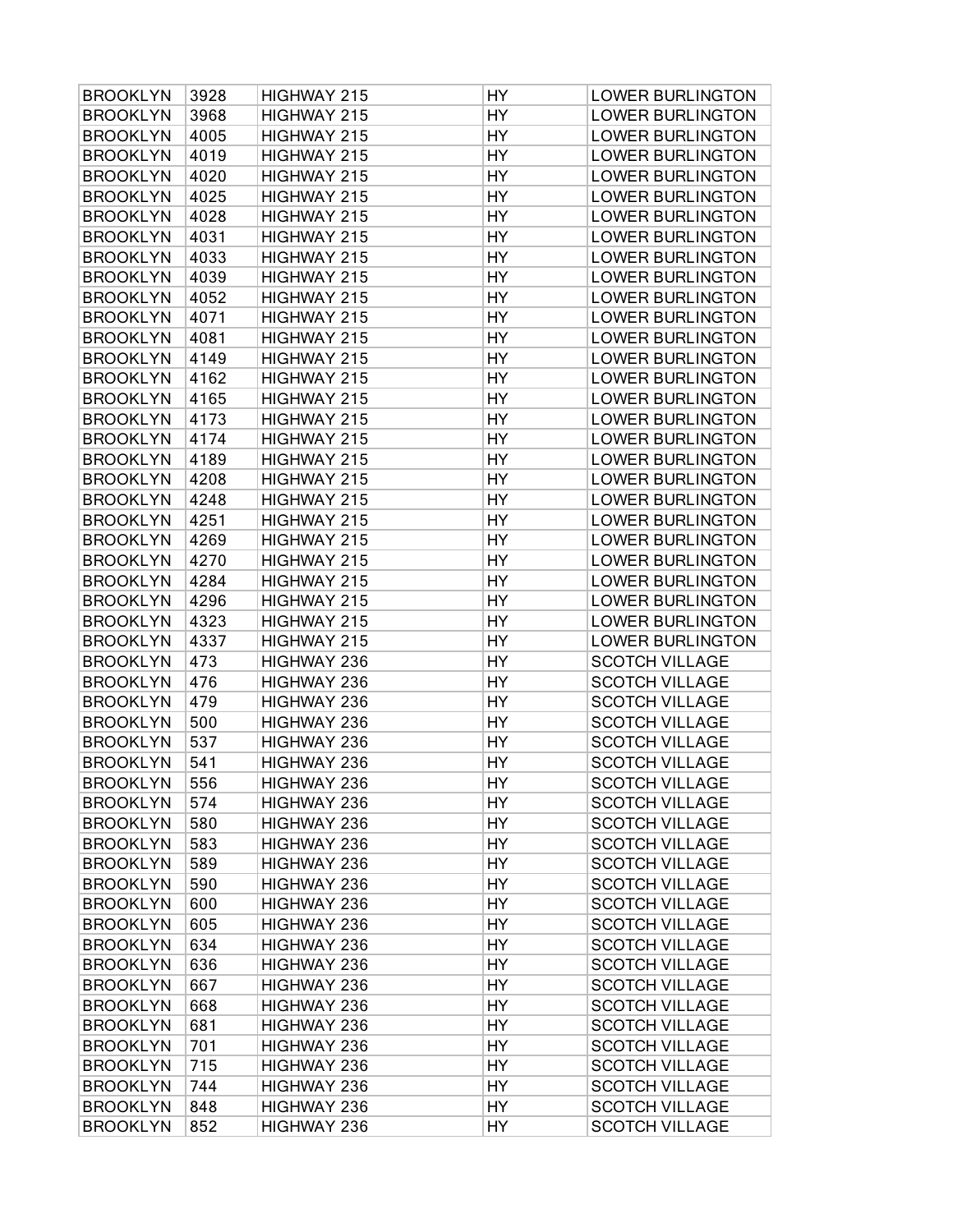| <b>BROOKLYN</b>                    | 3928       | HIGHWAY 215                | HY       | <b>LOWER BURLINGTON</b> |
|------------------------------------|------------|----------------------------|----------|-------------------------|
| <b>BROOKLYN</b>                    | 3968       | HIGHWAY 215                | HY       | <b>LOWER BURLINGTON</b> |
| <b>BROOKLYN</b>                    | 4005       | HIGHWAY 215                | HY       | <b>LOWER BURLINGTON</b> |
| <b>BROOKLYN</b>                    | 4019       | HIGHWAY 215                | HY       | <b>LOWER BURLINGTON</b> |
| <b>BROOKLYN</b>                    | 4020       | HIGHWAY 215                | HY       | <b>LOWER BURLINGTON</b> |
| <b>BROOKLYN</b>                    | 4025       | HIGHWAY 215                | HY       | <b>LOWER BURLINGTON</b> |
| <b>BROOKLYN</b>                    | 4028       | HIGHWAY 215                | HY       | <b>LOWER BURLINGTON</b> |
| <b>BROOKLYN</b>                    | 4031       | HIGHWAY 215                | HY       | <b>LOWER BURLINGTON</b> |
| <b>BROOKLYN</b>                    | 4033       | HIGHWAY 215                | HY       | <b>LOWER BURLINGTON</b> |
| <b>BROOKLYN</b>                    | 4039       | HIGHWAY 215                | HY       | <b>LOWER BURLINGTON</b> |
| <b>BROOKLYN</b>                    | 4052       | HIGHWAY 215                | HY       | <b>LOWER BURLINGTON</b> |
| <b>BROOKLYN</b>                    | 4071       | HIGHWAY 215                | HY       | <b>LOWER BURLINGTON</b> |
| <b>BROOKLYN</b>                    | 4081       | HIGHWAY 215                | HY       | <b>LOWER BURLINGTON</b> |
| <b>BROOKLYN</b>                    | 4149       | HIGHWAY 215                | HY       | <b>LOWER BURLINGTON</b> |
| <b>BROOKLYN</b>                    | 4162       | HIGHWAY 215                | HY       | <b>LOWER BURLINGTON</b> |
| <b>BROOKLYN</b>                    | 4165       | HIGHWAY 215                | HY       | <b>LOWER BURLINGTON</b> |
| <b>BROOKLYN</b>                    | 4173       | HIGHWAY 215                | HY       | <b>LOWER BURLINGTON</b> |
| <b>BROOKLYN</b>                    | 4174       | HIGHWAY 215                | HY       | <b>LOWER BURLINGTON</b> |
| <b>BROOKLYN</b>                    | 4189       | HIGHWAY 215                | HY       | <b>LOWER BURLINGTON</b> |
| <b>BROOKLYN</b>                    | 4208       | HIGHWAY 215                | HY       | <b>LOWER BURLINGTON</b> |
| <b>BROOKLYN</b>                    | 4248       | HIGHWAY 215                | HY       | <b>LOWER BURLINGTON</b> |
| <b>BROOKLYN</b>                    | 4251       | HIGHWAY 215                | HY       | <b>LOWER BURLINGTON</b> |
| <b>BROOKLYN</b>                    | 4269       | HIGHWAY 215                | HY       | <b>LOWER BURLINGTON</b> |
| <b>BROOKLYN</b>                    | 4270       | HIGHWAY 215                | HY       | <b>LOWER BURLINGTON</b> |
| <b>BROOKLYN</b>                    | 4284       | HIGHWAY 215                | HY       | <b>LOWER BURLINGTON</b> |
| <b>BROOKLYN</b>                    | 4296       | HIGHWAY 215                | HY       | <b>LOWER BURLINGTON</b> |
| <b>BROOKLYN</b>                    | 4323       | HIGHWAY 215                | HY       | <b>LOWER BURLINGTON</b> |
|                                    | 4337       |                            | HY       |                         |
| <b>BROOKLYN</b>                    |            | HIGHWAY 215                |          | <b>LOWER BURLINGTON</b> |
| <b>BROOKLYN</b>                    | 473        | HIGHWAY 236                | HY       | <b>SCOTCH VILLAGE</b>   |
| <b>BROOKLYN</b>                    | 476<br>479 | HIGHWAY 236                | HY<br>HY | <b>SCOTCH VILLAGE</b>   |
| <b>BROOKLYN</b>                    | 500        | HIGHWAY 236<br>HIGHWAY 236 | HY       | <b>SCOTCH VILLAGE</b>   |
| <b>BROOKLYN</b>                    |            |                            |          | <b>SCOTCH VILLAGE</b>   |
| <b>BROOKLYN</b><br><b>BROOKLYN</b> | 537<br>541 | HIGHWAY 236                | HY       | <b>SCOTCH VILLAGE</b>   |
|                                    |            | HIGHWAY 236                | HY       | <b>SCOTCH VILLAGE</b>   |
| <b>BROOKLYN</b>                    | 556        | HIGHWAY 236                | HY       | <b>SCOTCH VILLAGE</b>   |
| <b>BROOKLYN</b>                    | 574        | HIGHWAY 236                | HY       | <b>SCOTCH VILLAGE</b>   |
| <b>BROOKLYN</b>                    | 580        | HIGHWAY 236                | HY       | <b>SCOTCH VILLAGE</b>   |
| <b>BROOKLYN</b>                    | 583        | HIGHWAY 236                | HY       | <b>SCOTCH VILLAGE</b>   |
| <b>BROOKLYN</b>                    | 589        | HIGHWAY 236                | HY       | <b>SCOTCH VILLAGE</b>   |
| <b>BROOKLYN</b>                    | 590        | HIGHWAY 236                | HY       | <b>SCOTCH VILLAGE</b>   |
| <b>BROOKLYN</b>                    | 600        | HIGHWAY 236                | HY       | <b>SCOTCH VILLAGE</b>   |
| <b>BROOKLYN</b>                    | 605        | HIGHWAY 236                | HY       | <b>SCOTCH VILLAGE</b>   |
| <b>BROOKLYN</b>                    | 634        | HIGHWAY 236                | HY       | <b>SCOTCH VILLAGE</b>   |
| <b>BROOKLYN</b>                    | 636        | HIGHWAY 236                | HY       | <b>SCOTCH VILLAGE</b>   |
| <b>BROOKLYN</b>                    | 667        | HIGHWAY 236                | HY       | <b>SCOTCH VILLAGE</b>   |
| <b>BROOKLYN</b>                    | 668        | HIGHWAY 236                | HY       | <b>SCOTCH VILLAGE</b>   |
| <b>BROOKLYN</b>                    | 681        | HIGHWAY 236                | HY       | <b>SCOTCH VILLAGE</b>   |
| <b>BROOKLYN</b>                    | 701        | HIGHWAY 236                | HY       | <b>SCOTCH VILLAGE</b>   |
| <b>BROOKLYN</b>                    | 715        | HIGHWAY 236                | HY       | <b>SCOTCH VILLAGE</b>   |
| <b>BROOKLYN</b>                    | 744        | HIGHWAY 236                | HY       | <b>SCOTCH VILLAGE</b>   |
| <b>BROOKLYN</b>                    | 848        | HIGHWAY 236                | HY       | <b>SCOTCH VILLAGE</b>   |
| <b>BROOKLYN</b>                    | 852        | HIGHWAY 236                | HY       | <b>SCOTCH VILLAGE</b>   |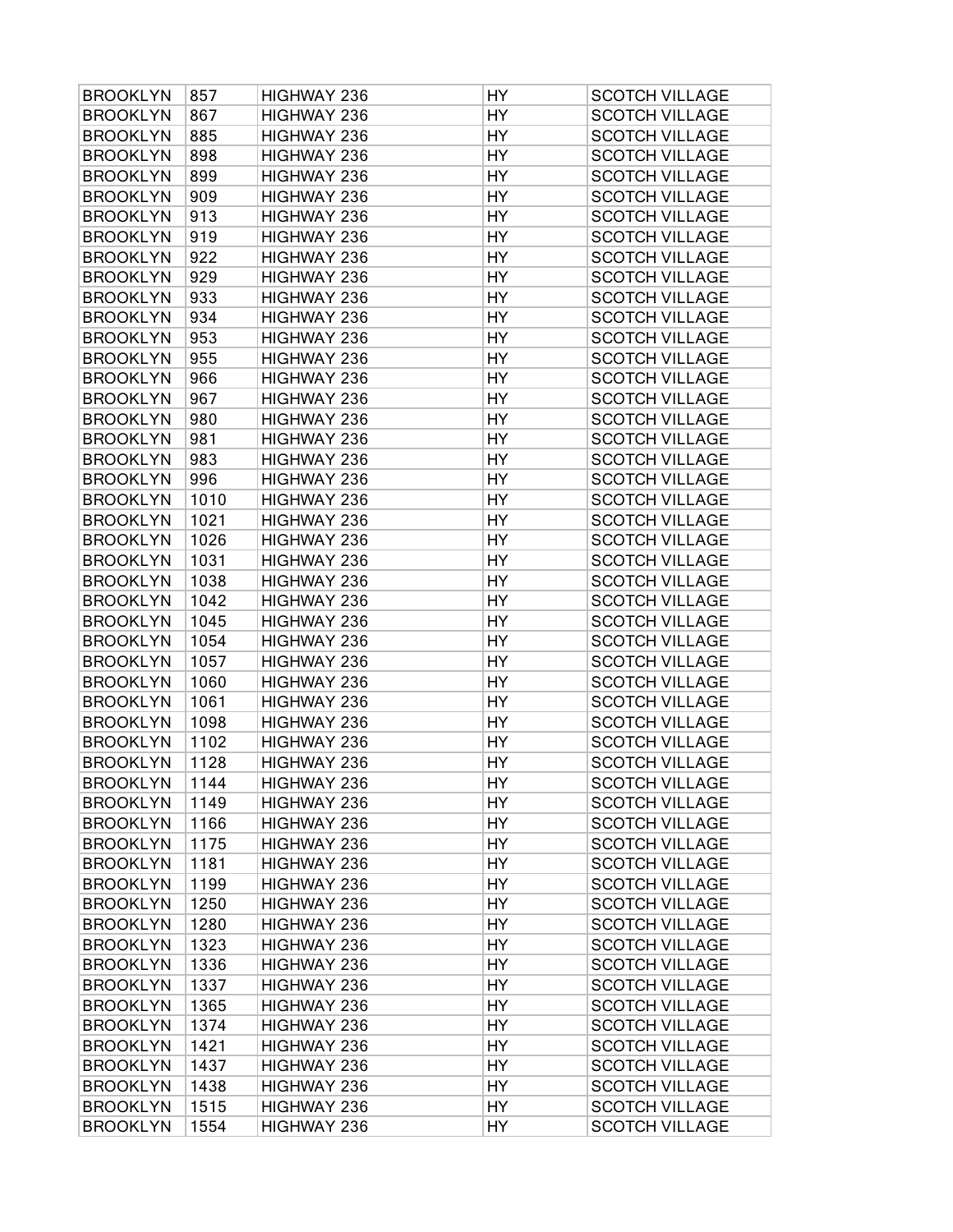| <b>BROOKLYN</b> | 857  | HIGHWAY 236 | HY. | <b>SCOTCH VILLAGE</b> |
|-----------------|------|-------------|-----|-----------------------|
| <b>BROOKLYN</b> | 867  | HIGHWAY 236 | HY  | <b>SCOTCH VILLAGE</b> |
| <b>BROOKLYN</b> | 885  | HIGHWAY 236 | HY  | <b>SCOTCH VILLAGE</b> |
| <b>BROOKLYN</b> | 898  | HIGHWAY 236 | HY  | <b>SCOTCH VILLAGE</b> |
| <b>BROOKLYN</b> | 899  | HIGHWAY 236 | HY  | <b>SCOTCH VILLAGE</b> |
| <b>BROOKLYN</b> | 909  | HIGHWAY 236 | HY  | <b>SCOTCH VILLAGE</b> |
| <b>BROOKLYN</b> | 913  | HIGHWAY 236 | HY  | <b>SCOTCH VILLAGE</b> |
| <b>BROOKLYN</b> | 919  | HIGHWAY 236 | HY  | <b>SCOTCH VILLAGE</b> |
| <b>BROOKLYN</b> | 922  | HIGHWAY 236 | HY  | <b>SCOTCH VILLAGE</b> |
| <b>BROOKLYN</b> | 929  | HIGHWAY 236 | HY  | <b>SCOTCH VILLAGE</b> |
| <b>BROOKLYN</b> | 933  | HIGHWAY 236 | HY  | <b>SCOTCH VILLAGE</b> |
| <b>BROOKLYN</b> | 934  | HIGHWAY 236 | HY  | <b>SCOTCH VILLAGE</b> |
| <b>BROOKLYN</b> | 953  | HIGHWAY 236 | HY  | <b>SCOTCH VILLAGE</b> |
| <b>BROOKLYN</b> | 955  | HIGHWAY 236 | HY  | <b>SCOTCH VILLAGE</b> |
| <b>BROOKLYN</b> | 966  | HIGHWAY 236 | HY  | <b>SCOTCH VILLAGE</b> |
| <b>BROOKLYN</b> | 967  | HIGHWAY 236 | HY  | <b>SCOTCH VILLAGE</b> |
| <b>BROOKLYN</b> | 980  | HIGHWAY 236 | HY  | <b>SCOTCH VILLAGE</b> |
| <b>BROOKLYN</b> | 981  | HIGHWAY 236 | HY  | <b>SCOTCH VILLAGE</b> |
| <b>BROOKLYN</b> | 983  | HIGHWAY 236 | HY  | <b>SCOTCH VILLAGE</b> |
| <b>BROOKLYN</b> | 996  | HIGHWAY 236 | HY  | <b>SCOTCH VILLAGE</b> |
| <b>BROOKLYN</b> | 1010 | HIGHWAY 236 | HY  | <b>SCOTCH VILLAGE</b> |
| <b>BROOKLYN</b> | 1021 | HIGHWAY 236 | HY  | <b>SCOTCH VILLAGE</b> |
| <b>BROOKLYN</b> | 1026 | HIGHWAY 236 | HY  | <b>SCOTCH VILLAGE</b> |
| <b>BROOKLYN</b> | 1031 | HIGHWAY 236 | HY  | <b>SCOTCH VILLAGE</b> |
| <b>BROOKLYN</b> | 1038 | HIGHWAY 236 | HY  | <b>SCOTCH VILLAGE</b> |
| <b>BROOKLYN</b> | 1042 | HIGHWAY 236 | HY  | <b>SCOTCH VILLAGE</b> |
| <b>BROOKLYN</b> | 1045 | HIGHWAY 236 | HY  | <b>SCOTCH VILLAGE</b> |
| <b>BROOKLYN</b> | 1054 | HIGHWAY 236 | HY  | <b>SCOTCH VILLAGE</b> |
| <b>BROOKLYN</b> | 1057 | HIGHWAY 236 | HY  | <b>SCOTCH VILLAGE</b> |
| <b>BROOKLYN</b> | 1060 | HIGHWAY 236 | HY  | <b>SCOTCH VILLAGE</b> |
| <b>BROOKLYN</b> | 1061 | HIGHWAY 236 | HY  | <b>SCOTCH VILLAGE</b> |
| <b>BROOKLYN</b> | 1098 | HIGHWAY 236 | HY  | <b>SCOTCH VILLAGE</b> |
| <b>BROOKLYN</b> | 1102 | HIGHWAY 236 | HY  | <b>SCOTCH VILLAGE</b> |
| <b>BROOKLYN</b> | 1128 | HIGHWAY 236 | HY  | <b>SCOTCH VILLAGE</b> |
| <b>BROOKLYN</b> | 1144 | HIGHWAY 236 | HY  | <b>SCOTCH VILLAGE</b> |
| <b>BROOKLYN</b> | 1149 | HIGHWAY 236 | HY  | <b>SCOTCH VILLAGE</b> |
| <b>BROOKLYN</b> | 1166 | HIGHWAY 236 | HY  | <b>SCOTCH VILLAGE</b> |
| <b>BROOKLYN</b> | 1175 | HIGHWAY 236 | HY  | <b>SCOTCH VILLAGE</b> |
| <b>BROOKLYN</b> | 1181 | HIGHWAY 236 | HY  | <b>SCOTCH VILLAGE</b> |
| <b>BROOKLYN</b> | 1199 | HIGHWAY 236 | HY  | <b>SCOTCH VILLAGE</b> |
| <b>BROOKLYN</b> | 1250 | HIGHWAY 236 | HY  | <b>SCOTCH VILLAGE</b> |
| <b>BROOKLYN</b> | 1280 | HIGHWAY 236 | HY  | <b>SCOTCH VILLAGE</b> |
| <b>BROOKLYN</b> | 1323 | HIGHWAY 236 | HY  | <b>SCOTCH VILLAGE</b> |
| <b>BROOKLYN</b> | 1336 | HIGHWAY 236 | HY  | <b>SCOTCH VILLAGE</b> |
| <b>BROOKLYN</b> | 1337 | HIGHWAY 236 | HY  | <b>SCOTCH VILLAGE</b> |
| <b>BROOKLYN</b> | 1365 | HIGHWAY 236 | HY  | <b>SCOTCH VILLAGE</b> |
| <b>BROOKLYN</b> | 1374 | HIGHWAY 236 | HY  | <b>SCOTCH VILLAGE</b> |
| <b>BROOKLYN</b> | 1421 | HIGHWAY 236 | HY  | <b>SCOTCH VILLAGE</b> |
| <b>BROOKLYN</b> | 1437 | HIGHWAY 236 | HY  | <b>SCOTCH VILLAGE</b> |
| <b>BROOKLYN</b> | 1438 | HIGHWAY 236 | HY  | <b>SCOTCH VILLAGE</b> |
| <b>BROOKLYN</b> | 1515 | HIGHWAY 236 | HY  | <b>SCOTCH VILLAGE</b> |
| <b>BROOKLYN</b> | 1554 | HIGHWAY 236 | HY  | <b>SCOTCH VILLAGE</b> |
|                 |      |             |     |                       |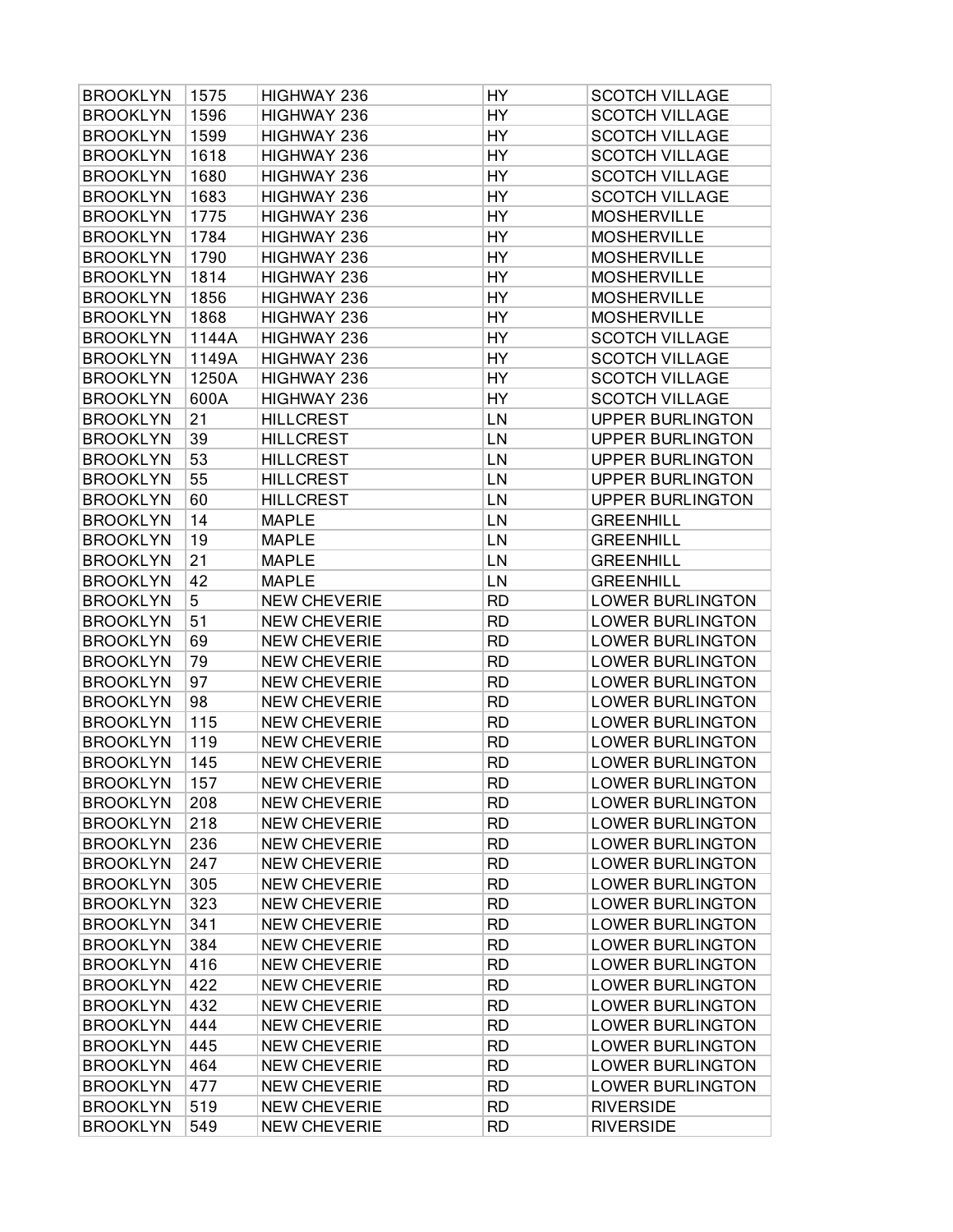| <b>BROOKLYN</b> | 1575  | HIGHWAY 236         | HY        | <b>SCOTCH VILLAGE</b>   |
|-----------------|-------|---------------------|-----------|-------------------------|
| <b>BROOKLYN</b> | 1596  | HIGHWAY 236         | HY        | <b>SCOTCH VILLAGE</b>   |
| <b>BROOKLYN</b> | 1599  | HIGHWAY 236         | HY        | <b>SCOTCH VILLAGE</b>   |
| <b>BROOKLYN</b> | 1618  | HIGHWAY 236         | HY        | <b>SCOTCH VILLAGE</b>   |
| <b>BROOKLYN</b> | 1680  | HIGHWAY 236         | HY        | <b>SCOTCH VILLAGE</b>   |
| <b>BROOKLYN</b> | 1683  | HIGHWAY 236         | HY        | <b>SCOTCH VILLAGE</b>   |
| <b>BROOKLYN</b> | 1775  | HIGHWAY 236         | HY        | <b>MOSHERVILLE</b>      |
| <b>BROOKLYN</b> | 1784  | HIGHWAY 236         | HY        | <b>MOSHERVILLE</b>      |
| <b>BROOKLYN</b> | 1790  | HIGHWAY 236         | HY        | <b>MOSHERVILLE</b>      |
| <b>BROOKLYN</b> | 1814  | HIGHWAY 236         | HY        | <b>MOSHERVILLE</b>      |
| <b>BROOKLYN</b> | 1856  | HIGHWAY 236         | HY        | <b>MOSHERVILLE</b>      |
| <b>BROOKLYN</b> | 1868  | HIGHWAY 236         | HY        | <b>MOSHERVILLE</b>      |
| <b>BROOKLYN</b> | 1144A | HIGHWAY 236         | HY        | <b>SCOTCH VILLAGE</b>   |
| <b>BROOKLYN</b> | 1149A | HIGHWAY 236         | HY        | <b>SCOTCH VILLAGE</b>   |
| <b>BROOKLYN</b> | 1250A | HIGHWAY 236         | HY        | <b>SCOTCH VILLAGE</b>   |
| <b>BROOKLYN</b> | 600A  | HIGHWAY 236         | HY        | <b>SCOTCH VILLAGE</b>   |
| <b>BROOKLYN</b> | 21    | <b>HILLCREST</b>    | LN        | <b>UPPER BURLINGTON</b> |
| <b>BROOKLYN</b> | 39    | <b>HILLCREST</b>    | LN        | <b>UPPER BURLINGTON</b> |
| <b>BROOKLYN</b> | 53    | <b>HILLCREST</b>    | LN        | <b>UPPER BURLINGTON</b> |
| <b>BROOKLYN</b> | 55    | <b>HILLCREST</b>    | LN        | <b>UPPER BURLINGTON</b> |
| <b>BROOKLYN</b> | 60    | <b>HILLCREST</b>    | LN        | <b>UPPER BURLINGTON</b> |
| <b>BROOKLYN</b> | 14    | <b>MAPLE</b>        | LN        | <b>GREENHILL</b>        |
| <b>BROOKLYN</b> | 19    | <b>MAPLE</b>        | LN        | <b>GREENHILL</b>        |
| <b>BROOKLYN</b> | 21    | <b>MAPLE</b>        | LN        | <b>GREENHILL</b>        |
| <b>BROOKLYN</b> | 42    | <b>MAPLE</b>        | LN        | <b>GREENHILL</b>        |
| <b>BROOKLYN</b> | 5     | <b>NEW CHEVERIE</b> | <b>RD</b> | <b>LOWER BURLINGTON</b> |
| <b>BROOKLYN</b> | 51    | <b>NEW CHEVERIE</b> | <b>RD</b> | <b>LOWER BURLINGTON</b> |
| <b>BROOKLYN</b> | 69    | <b>NEW CHEVERIE</b> | <b>RD</b> | <b>LOWER BURLINGTON</b> |
| <b>BROOKLYN</b> | 79    | <b>NEW CHEVERIE</b> | <b>RD</b> | <b>LOWER BURLINGTON</b> |
| <b>BROOKLYN</b> | 97    | <b>NEW CHEVERIE</b> | <b>RD</b> | <b>LOWER BURLINGTON</b> |
| <b>BROOKLYN</b> | 98    | <b>NEW CHEVERIE</b> | <b>RD</b> | <b>LOWER BURLINGTON</b> |
| <b>BROOKLYN</b> | 115   | <b>NEW CHEVERIE</b> | <b>RD</b> | <b>LOWER BURLINGTON</b> |
| <b>BROOKLYN</b> | 119   | <b>NEW CHEVERIE</b> | <b>RD</b> | <b>LOWER BURLINGTON</b> |
| <b>BROOKLYN</b> | 145   | <b>NEW CHEVERIE</b> | <b>RD</b> | <b>LOWER BURLINGTON</b> |
| <b>BROOKLYN</b> | 157   | <b>NEW CHEVERIE</b> | <b>RD</b> | <b>LOWER BURLINGTON</b> |
| <b>BROOKLYN</b> | 208   | <b>NEW CHEVERIE</b> | <b>RD</b> | <b>LOWER BURLINGTON</b> |
| <b>BROOKLYN</b> | 218   | <b>NEW CHEVERIE</b> | <b>RD</b> | <b>LOWER BURLINGTON</b> |
| <b>BROOKLYN</b> | 236   | <b>NEW CHEVERIE</b> | <b>RD</b> | <b>LOWER BURLINGTON</b> |
| <b>BROOKLYN</b> | 247   | <b>NEW CHEVERIE</b> | <b>RD</b> | <b>LOWER BURLINGTON</b> |
| <b>BROOKLYN</b> | 305   | <b>NEW CHEVERIE</b> | <b>RD</b> | <b>LOWER BURLINGTON</b> |
| <b>BROOKLYN</b> | 323   | <b>NEW CHEVERIE</b> | <b>RD</b> | <b>LOWER BURLINGTON</b> |
| <b>BROOKLYN</b> | 341   | <b>NEW CHEVERIE</b> | <b>RD</b> | <b>LOWER BURLINGTON</b> |
| <b>BROOKLYN</b> | 384   | <b>NEW CHEVERIE</b> | <b>RD</b> | <b>LOWER BURLINGTON</b> |
| <b>BROOKLYN</b> | 416   | <b>NEW CHEVERIE</b> | <b>RD</b> | <b>LOWER BURLINGTON</b> |
| <b>BROOKLYN</b> | 422   | <b>NEW CHEVERIE</b> | <b>RD</b> | <b>LOWER BURLINGTON</b> |
| <b>BROOKLYN</b> | 432   | <b>NEW CHEVERIE</b> | <b>RD</b> | <b>LOWER BURLINGTON</b> |
| <b>BROOKLYN</b> | 444   | <b>NEW CHEVERIE</b> | <b>RD</b> | <b>LOWER BURLINGTON</b> |
| <b>BROOKLYN</b> | 445   | <b>NEW CHEVERIE</b> | <b>RD</b> | <b>LOWER BURLINGTON</b> |
| <b>BROOKLYN</b> | 464   | <b>NEW CHEVERIE</b> | <b>RD</b> | <b>LOWER BURLINGTON</b> |
| <b>BROOKLYN</b> | 477   | <b>NEW CHEVERIE</b> | <b>RD</b> | <b>LOWER BURLINGTON</b> |
| <b>BROOKLYN</b> | 519   | <b>NEW CHEVERIE</b> | <b>RD</b> | <b>RIVERSIDE</b>        |
| <b>BROOKLYN</b> | 549   | <b>NEW CHEVERIE</b> | <b>RD</b> | <b>RIVERSIDE</b>        |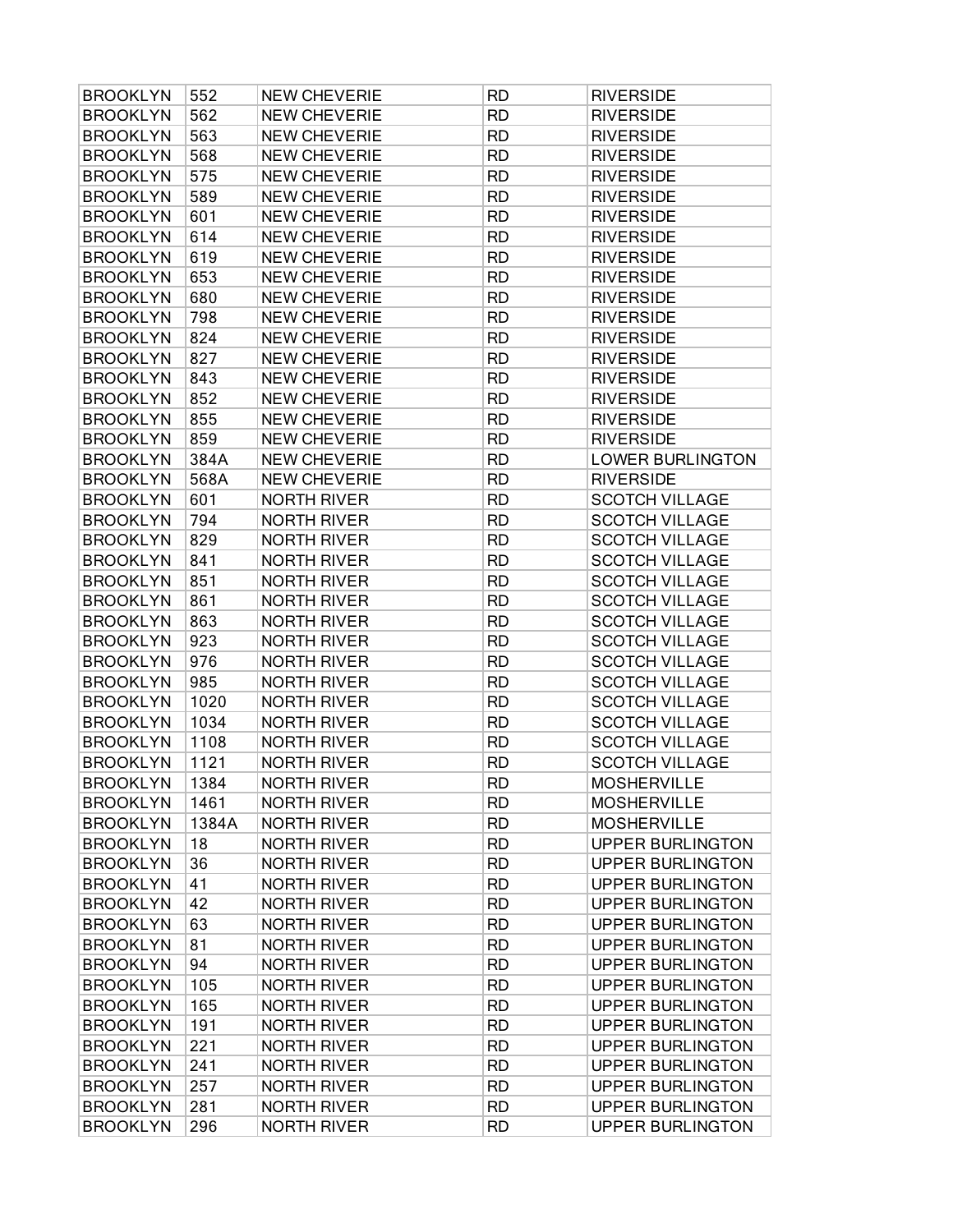| <b>BROOKLYN</b> | 552   | <b>NEW CHEVERIE</b> | <b>RD</b> | <b>RIVERSIDE</b>        |
|-----------------|-------|---------------------|-----------|-------------------------|
| <b>BROOKLYN</b> | 562   | <b>NEW CHEVERIE</b> | <b>RD</b> | <b>RIVERSIDE</b>        |
| <b>BROOKLYN</b> | 563   | <b>NEW CHEVERIE</b> | <b>RD</b> | <b>RIVERSIDE</b>        |
| <b>BROOKLYN</b> | 568   | <b>NEW CHEVERIE</b> | <b>RD</b> | <b>RIVERSIDE</b>        |
| <b>BROOKLYN</b> | 575   | <b>NEW CHEVERIE</b> | <b>RD</b> | <b>RIVERSIDE</b>        |
| <b>BROOKLYN</b> | 589   | <b>NEW CHEVERIE</b> | <b>RD</b> | <b>RIVERSIDE</b>        |
| <b>BROOKLYN</b> | 601   | <b>NEW CHEVERIE</b> | <b>RD</b> | <b>RIVERSIDE</b>        |
| <b>BROOKLYN</b> | 614   | <b>NEW CHEVERIE</b> | <b>RD</b> | <b>RIVERSIDE</b>        |
| <b>BROOKLYN</b> | 619   | <b>NEW CHEVERIE</b> | <b>RD</b> | <b>RIVERSIDE</b>        |
| <b>BROOKLYN</b> | 653   | <b>NEW CHEVERIE</b> | <b>RD</b> | <b>RIVERSIDE</b>        |
| <b>BROOKLYN</b> | 680   | <b>NEW CHEVERIE</b> | <b>RD</b> | <b>RIVERSIDE</b>        |
| <b>BROOKLYN</b> | 798   | <b>NEW CHEVERIE</b> | <b>RD</b> | <b>RIVERSIDE</b>        |
| <b>BROOKLYN</b> | 824   | <b>NEW CHEVERIE</b> | <b>RD</b> | <b>RIVERSIDE</b>        |
| <b>BROOKLYN</b> | 827   | <b>NEW CHEVERIE</b> | <b>RD</b> | <b>RIVERSIDE</b>        |
| <b>BROOKLYN</b> | 843   | <b>NEW CHEVERIE</b> | <b>RD</b> | <b>RIVERSIDE</b>        |
| <b>BROOKLYN</b> | 852   | <b>NEW CHEVERIE</b> | <b>RD</b> | <b>RIVERSIDE</b>        |
| <b>BROOKLYN</b> | 855   | <b>NEW CHEVERIE</b> | <b>RD</b> | <b>RIVERSIDE</b>        |
| <b>BROOKLYN</b> | 859   | <b>NEW CHEVERIE</b> | <b>RD</b> | <b>RIVERSIDE</b>        |
| <b>BROOKLYN</b> | 384A  | <b>NEW CHEVERIE</b> | <b>RD</b> | <b>LOWER BURLINGTON</b> |
| <b>BROOKLYN</b> | 568A  | <b>NEW CHEVERIE</b> | <b>RD</b> | <b>RIVERSIDE</b>        |
| <b>BROOKLYN</b> | 601   | <b>NORTH RIVER</b>  | <b>RD</b> | <b>SCOTCH VILLAGE</b>   |
| <b>BROOKLYN</b> | 794   | <b>NORTH RIVER</b>  | <b>RD</b> | <b>SCOTCH VILLAGE</b>   |
| <b>BROOKLYN</b> | 829   | <b>NORTH RIVER</b>  | <b>RD</b> | <b>SCOTCH VILLAGE</b>   |
| <b>BROOKLYN</b> | 841   | <b>NORTH RIVER</b>  | <b>RD</b> | <b>SCOTCH VILLAGE</b>   |
| <b>BROOKLYN</b> | 851   | <b>NORTH RIVER</b>  | <b>RD</b> | <b>SCOTCH VILLAGE</b>   |
| <b>BROOKLYN</b> | 861   | <b>NORTH RIVER</b>  | <b>RD</b> | <b>SCOTCH VILLAGE</b>   |
| <b>BROOKLYN</b> | 863   | <b>NORTH RIVER</b>  | <b>RD</b> | <b>SCOTCH VILLAGE</b>   |
| <b>BROOKLYN</b> | 923   | <b>NORTH RIVER</b>  | <b>RD</b> | <b>SCOTCH VILLAGE</b>   |
| <b>BROOKLYN</b> | 976   | <b>NORTH RIVER</b>  | <b>RD</b> | <b>SCOTCH VILLAGE</b>   |
| <b>BROOKLYN</b> | 985   | <b>NORTH RIVER</b>  | <b>RD</b> | <b>SCOTCH VILLAGE</b>   |
| <b>BROOKLYN</b> | 1020  | <b>NORTH RIVER</b>  | <b>RD</b> | <b>SCOTCH VILLAGE</b>   |
| <b>BROOKLYN</b> | 1034  | <b>NORTH RIVER</b>  | <b>RD</b> | <b>SCOTCH VILLAGE</b>   |
| <b>BROOKLYN</b> | 1108  | <b>NORTH RIVER</b>  | <b>RD</b> | <b>SCOTCH VILLAGE</b>   |
| <b>BROOKLYN</b> | 1121  | <b>NORTH RIVER</b>  | <b>RD</b> | <b>SCOTCH VILLAGE</b>   |
| <b>BROOKLYN</b> | 1384  | <b>NORTH RIVER</b>  | <b>RD</b> | <b>MOSHERVILLE</b>      |
| <b>BROOKLYN</b> | 1461  | <b>NORTH RIVER</b>  | <b>RD</b> | <b>MOSHERVILLE</b>      |
| <b>BROOKLYN</b> | 1384A | <b>NORTH RIVER</b>  | <b>RD</b> | <b>MOSHERVILLE</b>      |
| <b>BROOKLYN</b> | 18    | <b>NORTH RIVER</b>  | <b>RD</b> | <b>UPPER BURLINGTON</b> |
| <b>BROOKLYN</b> | 36    | <b>NORTH RIVER</b>  | <b>RD</b> | <b>UPPER BURLINGTON</b> |
| <b>BROOKLYN</b> | 41    | <b>NORTH RIVER</b>  | <b>RD</b> | <b>UPPER BURLINGTON</b> |
| <b>BROOKLYN</b> | 42    | <b>NORTH RIVER</b>  | <b>RD</b> | <b>UPPER BURLINGTON</b> |
| <b>BROOKLYN</b> | 63    | <b>NORTH RIVER</b>  | <b>RD</b> | <b>UPPER BURLINGTON</b> |
| <b>BROOKLYN</b> | 81    | <b>NORTH RIVER</b>  | <b>RD</b> | <b>UPPER BURLINGTON</b> |
| <b>BROOKLYN</b> | 94    | <b>NORTH RIVER</b>  | <b>RD</b> | <b>UPPER BURLINGTON</b> |
| <b>BROOKLYN</b> | 105   | <b>NORTH RIVER</b>  | <b>RD</b> | <b>UPPER BURLINGTON</b> |
| <b>BROOKLYN</b> | 165   | <b>NORTH RIVER</b>  | <b>RD</b> | <b>UPPER BURLINGTON</b> |
| <b>BROOKLYN</b> | 191   | <b>NORTH RIVER</b>  | <b>RD</b> | <b>UPPER BURLINGTON</b> |
| <b>BROOKLYN</b> | 221   | <b>NORTH RIVER</b>  | <b>RD</b> | <b>UPPER BURLINGTON</b> |
| <b>BROOKLYN</b> | 241   | <b>NORTH RIVER</b>  | <b>RD</b> | <b>UPPER BURLINGTON</b> |
| <b>BROOKLYN</b> | 257   | <b>NORTH RIVER</b>  | <b>RD</b> | <b>UPPER BURLINGTON</b> |
| <b>BROOKLYN</b> | 281   | <b>NORTH RIVER</b>  | <b>RD</b> | <b>UPPER BURLINGTON</b> |
| <b>BROOKLYN</b> | 296   | <b>NORTH RIVER</b>  | <b>RD</b> | <b>UPPER BURLINGTON</b> |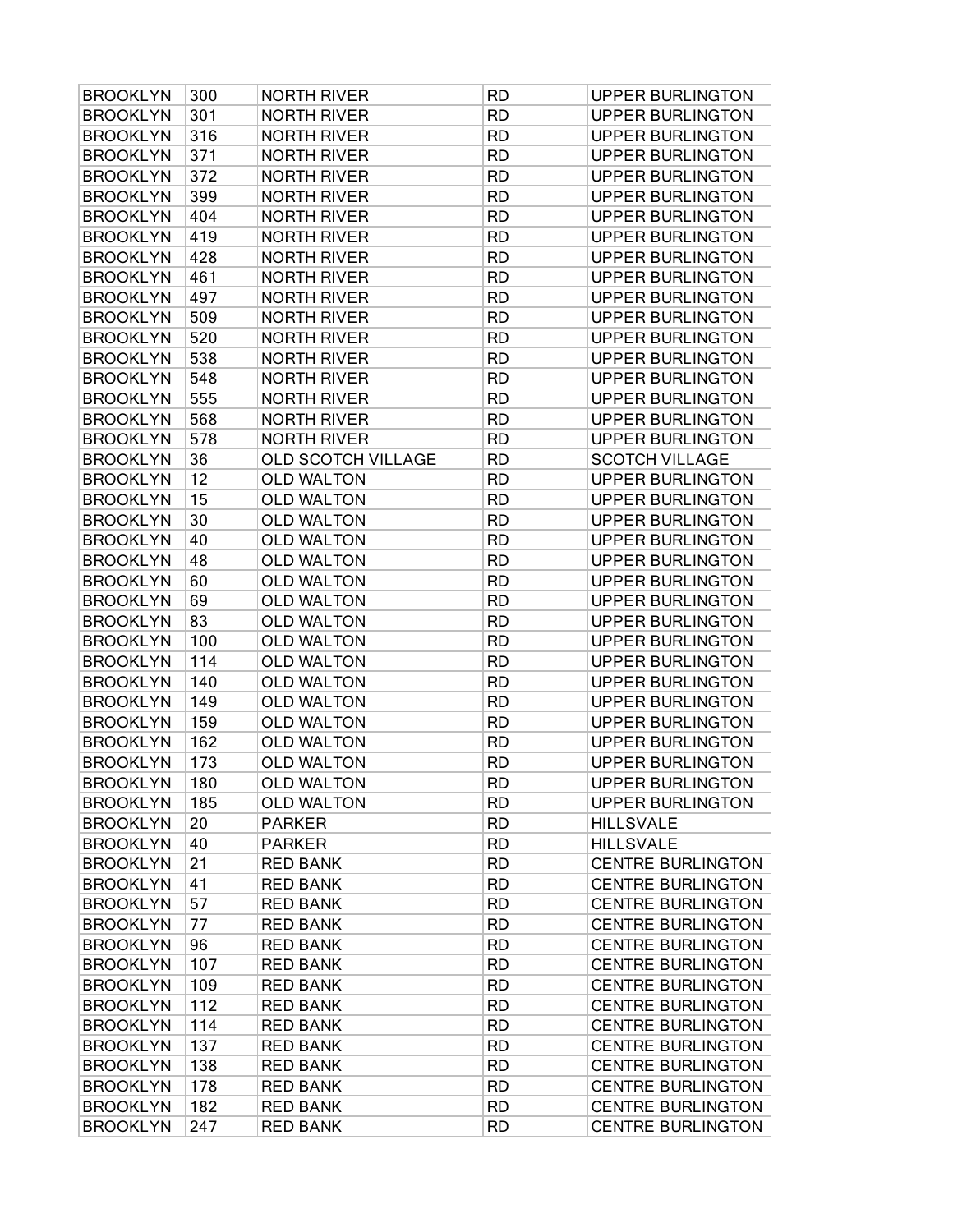| <b>BROOKLYN</b> | 300 | <b>NORTH RIVER</b> | <b>RD</b> | <b>UPPER BURLINGTON</b>  |
|-----------------|-----|--------------------|-----------|--------------------------|
| <b>BROOKLYN</b> | 301 | <b>NORTH RIVER</b> | <b>RD</b> | <b>UPPER BURLINGTON</b>  |
| <b>BROOKLYN</b> | 316 | <b>NORTH RIVER</b> | <b>RD</b> | <b>UPPER BURLINGTON</b>  |
| <b>BROOKLYN</b> | 371 | <b>NORTH RIVER</b> | <b>RD</b> | <b>UPPER BURLINGTON</b>  |
| <b>BROOKLYN</b> | 372 | <b>NORTH RIVER</b> | <b>RD</b> | <b>UPPER BURLINGTON</b>  |
| <b>BROOKLYN</b> | 399 | <b>NORTH RIVER</b> | <b>RD</b> | <b>UPPER BURLINGTON</b>  |
| <b>BROOKLYN</b> | 404 | <b>NORTH RIVER</b> | <b>RD</b> | <b>UPPER BURLINGTON</b>  |
| <b>BROOKLYN</b> | 419 | <b>NORTH RIVER</b> | <b>RD</b> | <b>UPPER BURLINGTON</b>  |
| <b>BROOKLYN</b> | 428 | <b>NORTH RIVER</b> | <b>RD</b> | <b>UPPER BURLINGTON</b>  |
| <b>BROOKLYN</b> | 461 | <b>NORTH RIVER</b> | <b>RD</b> | <b>UPPER BURLINGTON</b>  |
| <b>BROOKLYN</b> | 497 | <b>NORTH RIVER</b> | <b>RD</b> | <b>UPPER BURLINGTON</b>  |
| <b>BROOKLYN</b> | 509 | <b>NORTH RIVER</b> | <b>RD</b> | <b>UPPER BURLINGTON</b>  |
| <b>BROOKLYN</b> | 520 | <b>NORTH RIVER</b> | <b>RD</b> | <b>UPPER BURLINGTON</b>  |
| <b>BROOKLYN</b> | 538 | <b>NORTH RIVER</b> | <b>RD</b> | <b>UPPER BURLINGTON</b>  |
| <b>BROOKLYN</b> | 548 | <b>NORTH RIVER</b> | <b>RD</b> | <b>UPPER BURLINGTON</b>  |
| <b>BROOKLYN</b> | 555 | <b>NORTH RIVER</b> | <b>RD</b> | <b>UPPER BURLINGTON</b>  |
| <b>BROOKLYN</b> | 568 | <b>NORTH RIVER</b> | <b>RD</b> | <b>UPPER BURLINGTON</b>  |
| <b>BROOKLYN</b> | 578 | <b>NORTH RIVER</b> | <b>RD</b> | <b>UPPER BURLINGTON</b>  |
| <b>BROOKLYN</b> | 36  | OLD SCOTCH VILLAGE | <b>RD</b> | <b>SCOTCH VILLAGE</b>    |
| <b>BROOKLYN</b> | 12  | <b>OLD WALTON</b>  | <b>RD</b> | <b>UPPER BURLINGTON</b>  |
| <b>BROOKLYN</b> | 15  | <b>OLD WALTON</b>  | <b>RD</b> | <b>UPPER BURLINGTON</b>  |
| <b>BROOKLYN</b> | 30  | <b>OLD WALTON</b>  | <b>RD</b> | <b>UPPER BURLINGTON</b>  |
| <b>BROOKLYN</b> | 40  | <b>OLD WALTON</b>  | <b>RD</b> | <b>UPPER BURLINGTON</b>  |
| <b>BROOKLYN</b> | 48  | <b>OLD WALTON</b>  | <b>RD</b> | <b>UPPER BURLINGTON</b>  |
| <b>BROOKLYN</b> | 60  | <b>OLD WALTON</b>  | <b>RD</b> | <b>UPPER BURLINGTON</b>  |
| <b>BROOKLYN</b> | 69  | <b>OLD WALTON</b>  | <b>RD</b> | <b>UPPER BURLINGTON</b>  |
| <b>BROOKLYN</b> | 83  | <b>OLD WALTON</b>  | <b>RD</b> | <b>UPPER BURLINGTON</b>  |
| <b>BROOKLYN</b> | 100 | <b>OLD WALTON</b>  | <b>RD</b> | <b>UPPER BURLINGTON</b>  |
| <b>BROOKLYN</b> | 114 | <b>OLD WALTON</b>  | <b>RD</b> | <b>UPPER BURLINGTON</b>  |
| <b>BROOKLYN</b> | 140 | <b>OLD WALTON</b>  | <b>RD</b> | <b>UPPER BURLINGTON</b>  |
| <b>BROOKLYN</b> | 149 | <b>OLD WALTON</b>  | <b>RD</b> | <b>UPPER BURLINGTON</b>  |
| <b>BROOKLYN</b> | 159 | <b>OLD WALTON</b>  | <b>RD</b> | <b>UPPER BURLINGTON</b>  |
| <b>BROOKLYN</b> | 162 | <b>OLD WALTON</b>  | <b>RD</b> | <b>UPPER BURLINGTON</b>  |
| <b>BROOKLYN</b> | 173 | <b>OLD WALTON</b>  | <b>RD</b> | <b>UPPER BURLINGTON</b>  |
| <b>BROOKLYN</b> | 180 | <b>OLD WALTON</b>  | <b>RD</b> | <b>UPPER BURLINGTON</b>  |
| <b>BROOKLYN</b> | 185 | <b>OLD WALTON</b>  | <b>RD</b> | <b>UPPER BURLINGTON</b>  |
| <b>BROOKLYN</b> | 20  | <b>PARKER</b>      | <b>RD</b> | <b>HILLSVALE</b>         |
| <b>BROOKLYN</b> | 40  | <b>PARKER</b>      | <b>RD</b> | <b>HILLSVALE</b>         |
| <b>BROOKLYN</b> | 21  | <b>RED BANK</b>    | <b>RD</b> | <b>CENTRE BURLINGTON</b> |
| <b>BROOKLYN</b> | 41  | <b>RED BANK</b>    | <b>RD</b> | <b>CENTRE BURLINGTON</b> |
| <b>BROOKLYN</b> | 57  | <b>RED BANK</b>    | <b>RD</b> | <b>CENTRE BURLINGTON</b> |
| <b>BROOKLYN</b> | 77  | <b>RED BANK</b>    | <b>RD</b> | <b>CENTRE BURLINGTON</b> |
| <b>BROOKLYN</b> | 96  | <b>RED BANK</b>    | <b>RD</b> | <b>CENTRE BURLINGTON</b> |
| <b>BROOKLYN</b> | 107 | <b>RED BANK</b>    | <b>RD</b> | <b>CENTRE BURLINGTON</b> |
| <b>BROOKLYN</b> | 109 | <b>RED BANK</b>    | <b>RD</b> | <b>CENTRE BURLINGTON</b> |
| <b>BROOKLYN</b> | 112 | <b>RED BANK</b>    | <b>RD</b> | <b>CENTRE BURLINGTON</b> |
| <b>BROOKLYN</b> | 114 | <b>RED BANK</b>    | <b>RD</b> | <b>CENTRE BURLINGTON</b> |
| <b>BROOKLYN</b> | 137 | <b>RED BANK</b>    | <b>RD</b> | <b>CENTRE BURLINGTON</b> |
| <b>BROOKLYN</b> | 138 | <b>RED BANK</b>    | <b>RD</b> | <b>CENTRE BURLINGTON</b> |
| <b>BROOKLYN</b> | 178 | <b>RED BANK</b>    | <b>RD</b> | <b>CENTRE BURLINGTON</b> |
| <b>BROOKLYN</b> | 182 | <b>RED BANK</b>    | <b>RD</b> | <b>CENTRE BURLINGTON</b> |
| <b>BROOKLYN</b> | 247 | <b>RED BANK</b>    | <b>RD</b> | <b>CENTRE BURLINGTON</b> |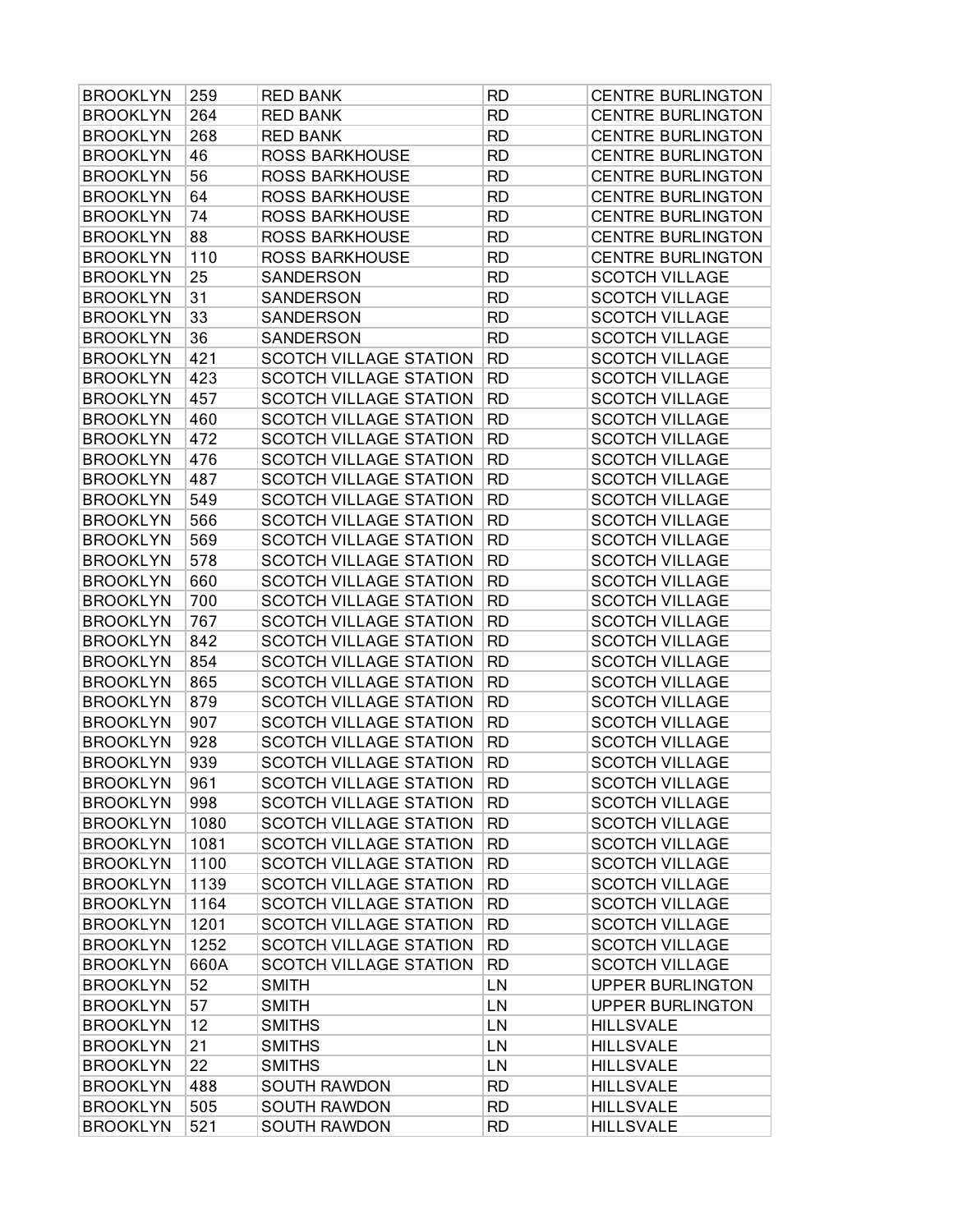| <b>BROOKLYN</b> | 259  | <b>RED BANK</b>               | <b>RD</b> | <b>CENTRE BURLINGTON</b> |
|-----------------|------|-------------------------------|-----------|--------------------------|
| <b>BROOKLYN</b> | 264  | <b>RED BANK</b>               | <b>RD</b> | <b>CENTRE BURLINGTON</b> |
| <b>BROOKLYN</b> | 268  | <b>RED BANK</b>               | <b>RD</b> | <b>CENTRE BURLINGTON</b> |
| <b>BROOKLYN</b> | 46   | <b>ROSS BARKHOUSE</b>         | <b>RD</b> | <b>CENTRE BURLINGTON</b> |
| <b>BROOKLYN</b> | 56   | <b>ROSS BARKHOUSE</b>         | <b>RD</b> | <b>CENTRE BURLINGTON</b> |
| <b>BROOKLYN</b> | 64   | <b>ROSS BARKHOUSE</b>         | <b>RD</b> | <b>CENTRE BURLINGTON</b> |
| <b>BROOKLYN</b> | 74   | ROSS BARKHOUSE                | <b>RD</b> | <b>CENTRE BURLINGTON</b> |
| <b>BROOKLYN</b> | 88   | <b>ROSS BARKHOUSE</b>         | <b>RD</b> | <b>CENTRE BURLINGTON</b> |
| <b>BROOKLYN</b> | 110  | <b>ROSS BARKHOUSE</b>         | <b>RD</b> | <b>CENTRE BURLINGTON</b> |
| <b>BROOKLYN</b> | 25   | SANDERSON                     | <b>RD</b> | <b>SCOTCH VILLAGE</b>    |
| <b>BROOKLYN</b> | 31   | SANDERSON                     | <b>RD</b> | <b>SCOTCH VILLAGE</b>    |
| <b>BROOKLYN</b> | 33   | SANDERSON                     | <b>RD</b> | <b>SCOTCH VILLAGE</b>    |
| <b>BROOKLYN</b> | 36   | SANDERSON                     | <b>RD</b> | <b>SCOTCH VILLAGE</b>    |
| <b>BROOKLYN</b> | 421  | <b>SCOTCH VILLAGE STATION</b> | <b>RD</b> | <b>SCOTCH VILLAGE</b>    |
| <b>BROOKLYN</b> | 423  | <b>SCOTCH VILLAGE STATION</b> | <b>RD</b> | <b>SCOTCH VILLAGE</b>    |
| <b>BROOKLYN</b> | 457  | <b>SCOTCH VILLAGE STATION</b> | <b>RD</b> | <b>SCOTCH VILLAGE</b>    |
| <b>BROOKLYN</b> | 460  | <b>SCOTCH VILLAGE STATION</b> | <b>RD</b> | <b>SCOTCH VILLAGE</b>    |
| <b>BROOKLYN</b> | 472  | SCOTCH VILLAGE STATION        | <b>RD</b> | <b>SCOTCH VILLAGE</b>    |
| <b>BROOKLYN</b> | 476  | <b>SCOTCH VILLAGE STATION</b> | <b>RD</b> | <b>SCOTCH VILLAGE</b>    |
| <b>BROOKLYN</b> | 487  | <b>SCOTCH VILLAGE STATION</b> | <b>RD</b> | <b>SCOTCH VILLAGE</b>    |
| <b>BROOKLYN</b> | 549  | <b>SCOTCH VILLAGE STATION</b> | <b>RD</b> | <b>SCOTCH VILLAGE</b>    |
| <b>BROOKLYN</b> | 566  | <b>SCOTCH VILLAGE STATION</b> | <b>RD</b> | <b>SCOTCH VILLAGE</b>    |
| <b>BROOKLYN</b> | 569  | <b>SCOTCH VILLAGE STATION</b> | <b>RD</b> | <b>SCOTCH VILLAGE</b>    |
| <b>BROOKLYN</b> | 578  | <b>SCOTCH VILLAGE STATION</b> | <b>RD</b> | <b>SCOTCH VILLAGE</b>    |
| <b>BROOKLYN</b> | 660  | SCOTCH VILLAGE STATION        | <b>RD</b> | <b>SCOTCH VILLAGE</b>    |
| <b>BROOKLYN</b> | 700  | <b>SCOTCH VILLAGE STATION</b> | <b>RD</b> | <b>SCOTCH VILLAGE</b>    |
| <b>BROOKLYN</b> | 767  | <b>SCOTCH VILLAGE STATION</b> | <b>RD</b> | <b>SCOTCH VILLAGE</b>    |
| <b>BROOKLYN</b> | 842  | <b>SCOTCH VILLAGE STATION</b> | <b>RD</b> | <b>SCOTCH VILLAGE</b>    |
| <b>BROOKLYN</b> | 854  | <b>SCOTCH VILLAGE STATION</b> | <b>RD</b> | <b>SCOTCH VILLAGE</b>    |
| <b>BROOKLYN</b> | 865  | SCOTCH VILLAGE STATION        | <b>RD</b> | <b>SCOTCH VILLAGE</b>    |
| <b>BROOKLYN</b> | 879  | <b>SCOTCH VILLAGE STATION</b> | <b>RD</b> | <b>SCOTCH VILLAGE</b>    |
| <b>BROOKLYN</b> | 907  | <b>SCOTCH VILLAGE STATION</b> | <b>RD</b> | <b>SCOTCH VILLAGE</b>    |
| <b>BROOKLYN</b> | 928  | <b>SCOTCH VILLAGE STATION</b> | <b>RD</b> | <b>SCOTCH VILLAGE</b>    |
| <b>BROOKLYN</b> | 939  | <b>SCOTCH VILLAGE STATION</b> | <b>RD</b> | <b>SCOTCH VILLAGE</b>    |
| <b>BROOKLYN</b> | 961  | SCOTCH VILLAGE STATION        | <b>RD</b> | <b>SCOTCH VILLAGE</b>    |
| <b>BROOKLYN</b> | 998  | <b>SCOTCH VILLAGE STATION</b> | <b>RD</b> | <b>SCOTCH VILLAGE</b>    |
| <b>BROOKLYN</b> | 1080 | <b>SCOTCH VILLAGE STATION</b> | <b>RD</b> | <b>SCOTCH VILLAGE</b>    |
| <b>BROOKLYN</b> | 1081 | <b>SCOTCH VILLAGE STATION</b> | <b>RD</b> | <b>SCOTCH VILLAGE</b>    |
| <b>BROOKLYN</b> | 1100 | <b>SCOTCH VILLAGE STATION</b> | <b>RD</b> | <b>SCOTCH VILLAGE</b>    |
| <b>BROOKLYN</b> | 1139 | <b>SCOTCH VILLAGE STATION</b> | <b>RD</b> | <b>SCOTCH VILLAGE</b>    |
| <b>BROOKLYN</b> | 1164 | <b>SCOTCH VILLAGE STATION</b> | <b>RD</b> | <b>SCOTCH VILLAGE</b>    |
| <b>BROOKLYN</b> | 1201 | <b>SCOTCH VILLAGE STATION</b> | <b>RD</b> | <b>SCOTCH VILLAGE</b>    |
| <b>BROOKLYN</b> | 1252 | SCOTCH VILLAGE STATION        | <b>RD</b> | <b>SCOTCH VILLAGE</b>    |
| <b>BROOKLYN</b> | 660A | <b>SCOTCH VILLAGE STATION</b> | <b>RD</b> | <b>SCOTCH VILLAGE</b>    |
| <b>BROOKLYN</b> | 52   | <b>SMITH</b>                  | LN        | <b>UPPER BURLINGTON</b>  |
| <b>BROOKLYN</b> | 57   | <b>SMITH</b>                  | LN        | <b>UPPER BURLINGTON</b>  |
| <b>BROOKLYN</b> | 12   | <b>SMITHS</b>                 | LN        | <b>HILLSVALE</b>         |
| <b>BROOKLYN</b> | 21   | <b>SMITHS</b>                 | LN        | <b>HILLSVALE</b>         |
| <b>BROOKLYN</b> | 22   | <b>SMITHS</b>                 | LN        | <b>HILLSVALE</b>         |
| <b>BROOKLYN</b> | 488  | <b>SOUTH RAWDON</b>           | <b>RD</b> | <b>HILLSVALE</b>         |
| <b>BROOKLYN</b> | 505  | <b>SOUTH RAWDON</b>           | <b>RD</b> | <b>HILLSVALE</b>         |
| <b>BROOKLYN</b> | 521  | SOUTH RAWDON                  | <b>RD</b> | <b>HILLSVALE</b>         |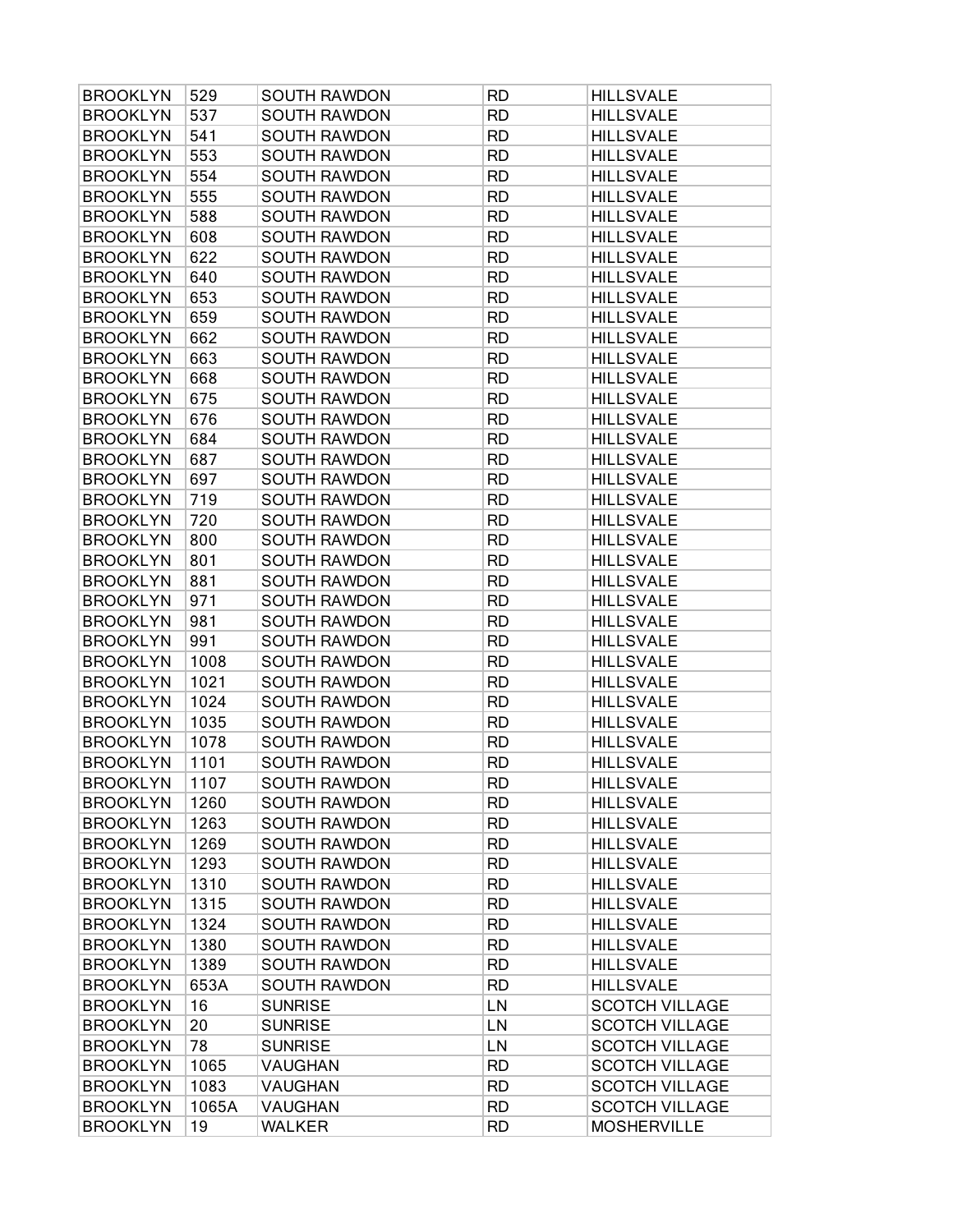| <b>BROOKLYN</b> | 529   | <b>SOUTH RAWDON</b> | <b>RD</b> | <b>HILLSVALE</b>      |
|-----------------|-------|---------------------|-----------|-----------------------|
| <b>BROOKLYN</b> | 537   | <b>SOUTH RAWDON</b> | <b>RD</b> | <b>HILLSVALE</b>      |
| <b>BROOKLYN</b> | 541   | <b>SOUTH RAWDON</b> | <b>RD</b> | <b>HILLSVALE</b>      |
| <b>BROOKLYN</b> | 553   | <b>SOUTH RAWDON</b> | <b>RD</b> | <b>HILLSVALE</b>      |
| <b>BROOKLYN</b> | 554   | <b>SOUTH RAWDON</b> | <b>RD</b> | <b>HILLSVALE</b>      |
| <b>BROOKLYN</b> | 555   | <b>SOUTH RAWDON</b> | <b>RD</b> | <b>HILLSVALE</b>      |
| <b>BROOKLYN</b> | 588   | <b>SOUTH RAWDON</b> | <b>RD</b> | <b>HILLSVALE</b>      |
| <b>BROOKLYN</b> | 608   | <b>SOUTH RAWDON</b> | <b>RD</b> | <b>HILLSVALE</b>      |
| <b>BROOKLYN</b> | 622   | <b>SOUTH RAWDON</b> | <b>RD</b> | <b>HILLSVALE</b>      |
| <b>BROOKLYN</b> | 640   | <b>SOUTH RAWDON</b> | <b>RD</b> | <b>HILLSVALE</b>      |
| <b>BROOKLYN</b> | 653   | <b>SOUTH RAWDON</b> | <b>RD</b> | <b>HILLSVALE</b>      |
| <b>BROOKLYN</b> | 659   | <b>SOUTH RAWDON</b> | <b>RD</b> | <b>HILLSVALE</b>      |
| <b>BROOKLYN</b> | 662   | <b>SOUTH RAWDON</b> | <b>RD</b> | <b>HILLSVALE</b>      |
| <b>BROOKLYN</b> | 663   | <b>SOUTH RAWDON</b> | <b>RD</b> | <b>HILLSVALE</b>      |
| <b>BROOKLYN</b> | 668   | <b>SOUTH RAWDON</b> | <b>RD</b> | <b>HILLSVALE</b>      |
| <b>BROOKLYN</b> | 675   | <b>SOUTH RAWDON</b> | <b>RD</b> | <b>HILLSVALE</b>      |
| <b>BROOKLYN</b> | 676   | <b>SOUTH RAWDON</b> | <b>RD</b> | <b>HILLSVALE</b>      |
| <b>BROOKLYN</b> | 684   | <b>SOUTH RAWDON</b> | <b>RD</b> | <b>HILLSVALE</b>      |
| <b>BROOKLYN</b> | 687   | <b>SOUTH RAWDON</b> | <b>RD</b> | <b>HILLSVALE</b>      |
| <b>BROOKLYN</b> | 697   | <b>SOUTH RAWDON</b> | <b>RD</b> | <b>HILLSVALE</b>      |
| <b>BROOKLYN</b> | 719   | <b>SOUTH RAWDON</b> | <b>RD</b> | <b>HILLSVALE</b>      |
| <b>BROOKLYN</b> | 720   | <b>SOUTH RAWDON</b> | <b>RD</b> | <b>HILLSVALE</b>      |
| <b>BROOKLYN</b> | 800   | <b>SOUTH RAWDON</b> | <b>RD</b> | <b>HILLSVALE</b>      |
| <b>BROOKLYN</b> | 801   | <b>SOUTH RAWDON</b> | <b>RD</b> | <b>HILLSVALE</b>      |
| <b>BROOKLYN</b> | 881   | <b>SOUTH RAWDON</b> | <b>RD</b> | <b>HILLSVALE</b>      |
| <b>BROOKLYN</b> | 971   | <b>SOUTH RAWDON</b> | <b>RD</b> | <b>HILLSVALE</b>      |
| <b>BROOKLYN</b> | 981   | <b>SOUTH RAWDON</b> | <b>RD</b> | <b>HILLSVALE</b>      |
| <b>BROOKLYN</b> | 991   | <b>SOUTH RAWDON</b> | <b>RD</b> | <b>HILLSVALE</b>      |
| <b>BROOKLYN</b> | 1008  | <b>SOUTH RAWDON</b> | <b>RD</b> | <b>HILLSVALE</b>      |
| <b>BROOKLYN</b> | 1021  | <b>SOUTH RAWDON</b> | <b>RD</b> | <b>HILLSVALE</b>      |
| <b>BROOKLYN</b> | 1024  | <b>SOUTH RAWDON</b> | <b>RD</b> | <b>HILLSVALE</b>      |
| <b>BROOKLYN</b> | 1035  | <b>SOUTH RAWDON</b> | <b>RD</b> | <b>HILLSVALE</b>      |
| <b>BROOKLYN</b> | 1078  | <b>SOUTH RAWDON</b> | <b>RD</b> | <b>HILLSVALE</b>      |
| <b>BROOKLYN</b> | 1101  | <b>SOUTH RAWDON</b> | <b>RD</b> | <b>HILLSVALE</b>      |
| <b>BROOKLYN</b> | 1107  | SOUTH RAWDON        | <b>RD</b> | <b>HILLSVALE</b>      |
| <b>BROOKLYN</b> | 1260  | <b>SOUTH RAWDON</b> | <b>RD</b> | <b>HILLSVALE</b>      |
| <b>BROOKLYN</b> | 1263  | <b>SOUTH RAWDON</b> | <b>RD</b> | <b>HILLSVALE</b>      |
| <b>BROOKLYN</b> | 1269  | <b>SOUTH RAWDON</b> | <b>RD</b> | <b>HILLSVALE</b>      |
| <b>BROOKLYN</b> | 1293  | <b>SOUTH RAWDON</b> | <b>RD</b> | <b>HILLSVALE</b>      |
| <b>BROOKLYN</b> | 1310  | <b>SOUTH RAWDON</b> | <b>RD</b> | <b>HILLSVALE</b>      |
| <b>BROOKLYN</b> | 1315  | <b>SOUTH RAWDON</b> | <b>RD</b> | <b>HILLSVALE</b>      |
| <b>BROOKLYN</b> | 1324  | <b>SOUTH RAWDON</b> | <b>RD</b> | <b>HILLSVALE</b>      |
| <b>BROOKLYN</b> | 1380  | <b>SOUTH RAWDON</b> | <b>RD</b> | <b>HILLSVALE</b>      |
| <b>BROOKLYN</b> | 1389  | <b>SOUTH RAWDON</b> | <b>RD</b> | <b>HILLSVALE</b>      |
| <b>BROOKLYN</b> | 653A  | <b>SOUTH RAWDON</b> | <b>RD</b> | <b>HILLSVALE</b>      |
| <b>BROOKLYN</b> | 16    | <b>SUNRISE</b>      | LN        | <b>SCOTCH VILLAGE</b> |
| <b>BROOKLYN</b> | 20    | <b>SUNRISE</b>      | LN        | <b>SCOTCH VILLAGE</b> |
| <b>BROOKLYN</b> | 78    | <b>SUNRISE</b>      | LN        | <b>SCOTCH VILLAGE</b> |
| <b>BROOKLYN</b> | 1065  | VAUGHAN             | <b>RD</b> | <b>SCOTCH VILLAGE</b> |
| <b>BROOKLYN</b> | 1083  | VAUGHAN             | <b>RD</b> | <b>SCOTCH VILLAGE</b> |
| <b>BROOKLYN</b> | 1065A | <b>VAUGHAN</b>      | <b>RD</b> | <b>SCOTCH VILLAGE</b> |
| <b>BROOKLYN</b> | 19    | <b>WALKER</b>       | <b>RD</b> | <b>MOSHERVILLE</b>    |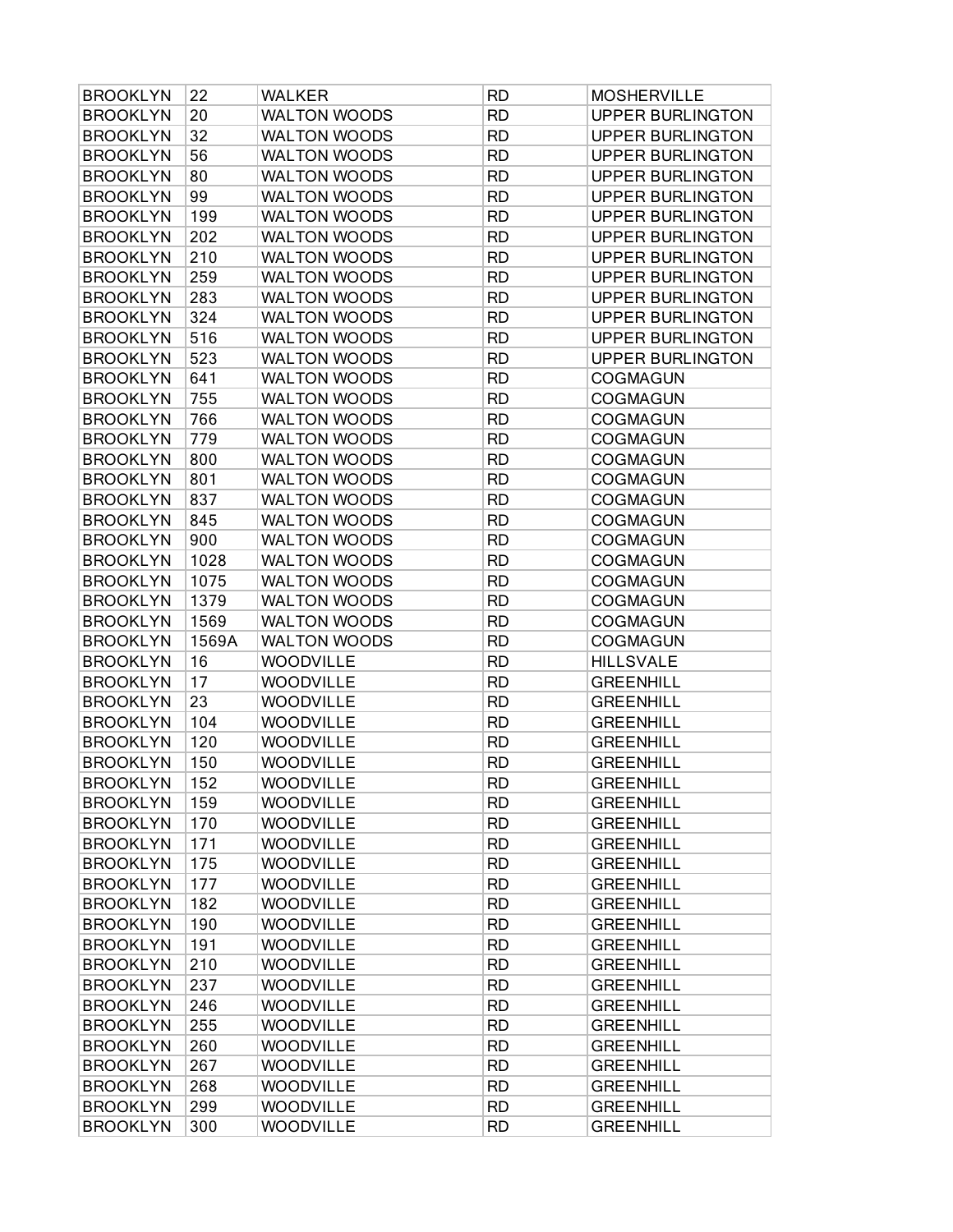| <b>BROOKLYN</b> | 22    | <b>WALKER</b>       | <b>RD</b> | <b>MOSHERVILLE</b>      |
|-----------------|-------|---------------------|-----------|-------------------------|
| <b>BROOKLYN</b> | 20    | <b>WALTON WOODS</b> | <b>RD</b> | <b>UPPER BURLINGTON</b> |
| <b>BROOKLYN</b> | 32    | <b>WALTON WOODS</b> | <b>RD</b> | <b>UPPER BURLINGTON</b> |
| <b>BROOKLYN</b> | 56    | <b>WALTON WOODS</b> | <b>RD</b> | <b>UPPER BURLINGTON</b> |
| <b>BROOKLYN</b> | 80    | <b>WALTON WOODS</b> | <b>RD</b> | <b>UPPER BURLINGTON</b> |
| <b>BROOKLYN</b> | 99    | <b>WALTON WOODS</b> | <b>RD</b> | <b>UPPER BURLINGTON</b> |
| <b>BROOKLYN</b> | 199   | <b>WALTON WOODS</b> | <b>RD</b> | <b>UPPER BURLINGTON</b> |
| <b>BROOKLYN</b> | 202   | <b>WALTON WOODS</b> | <b>RD</b> | <b>UPPER BURLINGTON</b> |
| <b>BROOKLYN</b> | 210   | <b>WALTON WOODS</b> | <b>RD</b> | <b>UPPER BURLINGTON</b> |
| <b>BROOKLYN</b> | 259   | <b>WALTON WOODS</b> | <b>RD</b> | <b>UPPER BURLINGTON</b> |
| <b>BROOKLYN</b> | 283   | <b>WALTON WOODS</b> | <b>RD</b> | <b>UPPER BURLINGTON</b> |
| <b>BROOKLYN</b> | 324   | <b>WALTON WOODS</b> | <b>RD</b> | <b>UPPER BURLINGTON</b> |
| <b>BROOKLYN</b> | 516   | <b>WALTON WOODS</b> | <b>RD</b> | <b>UPPER BURLINGTON</b> |
| <b>BROOKLYN</b> | 523   | <b>WALTON WOODS</b> | <b>RD</b> | <b>UPPER BURLINGTON</b> |
| <b>BROOKLYN</b> | 641   | <b>WALTON WOODS</b> | <b>RD</b> | <b>COGMAGUN</b>         |
| <b>BROOKLYN</b> | 755   | WALTON WOODS        | <b>RD</b> | <b>COGMAGUN</b>         |
| <b>BROOKLYN</b> | 766   | <b>WALTON WOODS</b> | <b>RD</b> | <b>COGMAGUN</b>         |
| <b>BROOKLYN</b> | 779   | <b>WALTON WOODS</b> | <b>RD</b> | <b>COGMAGUN</b>         |
| <b>BROOKLYN</b> | 800   | <b>WALTON WOODS</b> | <b>RD</b> | <b>COGMAGUN</b>         |
| <b>BROOKLYN</b> | 801   | <b>WALTON WOODS</b> | <b>RD</b> | <b>COGMAGUN</b>         |
| <b>BROOKLYN</b> | 837   | <b>WALTON WOODS</b> | <b>RD</b> | <b>COGMAGUN</b>         |
| <b>BROOKLYN</b> | 845   | <b>WALTON WOODS</b> | <b>RD</b> | <b>COGMAGUN</b>         |
| <b>BROOKLYN</b> | 900   | <b>WALTON WOODS</b> | <b>RD</b> | <b>COGMAGUN</b>         |
| <b>BROOKLYN</b> | 1028  | <b>WALTON WOODS</b> | <b>RD</b> | <b>COGMAGUN</b>         |
| <b>BROOKLYN</b> | 1075  | <b>WALTON WOODS</b> | <b>RD</b> | <b>COGMAGUN</b>         |
| <b>BROOKLYN</b> | 1379  | <b>WALTON WOODS</b> | <b>RD</b> | <b>COGMAGUN</b>         |
| <b>BROOKLYN</b> | 1569  | <b>WALTON WOODS</b> | <b>RD</b> | <b>COGMAGUN</b>         |
| <b>BROOKLYN</b> | 1569A | <b>WALTON WOODS</b> | <b>RD</b> | COGMAGUN                |
| <b>BROOKLYN</b> | 16    | <b>WOODVILLE</b>    | <b>RD</b> | <b>HILLSVALE</b>        |
| <b>BROOKLYN</b> | 17    | <b>WOODVILLE</b>    | <b>RD</b> | <b>GREENHILL</b>        |
| <b>BROOKLYN</b> | 23    | <b>WOODVILLE</b>    | <b>RD</b> | <b>GREENHILL</b>        |
| <b>BROOKLYN</b> | 104   | <b>WOODVILLE</b>    | <b>RD</b> | <b>GREENHILL</b>        |
| <b>BROOKLYN</b> | 120   | WOODVILLE           | <b>RD</b> | <b>GREENHILL</b>        |
| <b>BROOKLYN</b> | 150   | WOODVILLE           | <b>RD</b> | <b>GREENHILL</b>        |
| <b>BROOKLYN</b> | 152   | WOODVILLE           | <b>RD</b> | <b>GREENHILL</b>        |
| <b>BROOKLYN</b> | 159   | <b>WOODVILLE</b>    | <b>RD</b> | <b>GREENHILL</b>        |
| <b>BROOKLYN</b> | 170   | WOODVILLE           | <b>RD</b> | <b>GREENHILL</b>        |
| <b>BROOKLYN</b> | 171   | <b>WOODVILLE</b>    | <b>RD</b> | <b>GREENHILL</b>        |
| <b>BROOKLYN</b> | 175   | <b>WOODVILLE</b>    | <b>RD</b> | <b>GREENHILL</b>        |
| <b>BROOKLYN</b> | 177   | <b>WOODVILLE</b>    | <b>RD</b> | <b>GREENHILL</b>        |
| <b>BROOKLYN</b> | 182   | <b>WOODVILLE</b>    | <b>RD</b> | <b>GREENHILL</b>        |
| <b>BROOKLYN</b> | 190   | <b>WOODVILLE</b>    | <b>RD</b> | <b>GREENHILL</b>        |
| <b>BROOKLYN</b> | 191   | <b>WOODVILLE</b>    | <b>RD</b> | <b>GREENHILL</b>        |
| <b>BROOKLYN</b> | 210   | <b>WOODVILLE</b>    | <b>RD</b> | <b>GREENHILL</b>        |
| <b>BROOKLYN</b> | 237   | <b>WOODVILLE</b>    | <b>RD</b> | <b>GREENHILL</b>        |
| <b>BROOKLYN</b> | 246   | WOODVILLE           | <b>RD</b> | <b>GREENHILL</b>        |
| <b>BROOKLYN</b> | 255   | <b>WOODVILLE</b>    | <b>RD</b> | <b>GREENHILL</b>        |
| <b>BROOKLYN</b> | 260   | <b>WOODVILLE</b>    | <b>RD</b> | <b>GREENHILL</b>        |
| <b>BROOKLYN</b> | 267   | WOODVILLE           | <b>RD</b> | <b>GREENHILL</b>        |
| <b>BROOKLYN</b> | 268   | <b>WOODVILLE</b>    | <b>RD</b> | <b>GREENHILL</b>        |
| <b>BROOKLYN</b> | 299   | <b>WOODVILLE</b>    | <b>RD</b> | <b>GREENHILL</b>        |
| <b>BROOKLYN</b> | 300   | <b>WOODVILLE</b>    | <b>RD</b> | <b>GREENHILL</b>        |